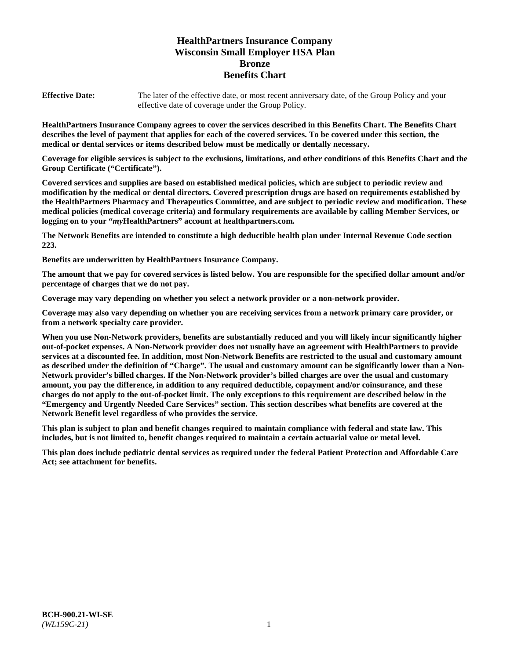# **HealthPartners Insurance Company Wisconsin Small Employer HSA Plan Bronze Benefits Chart**

**Effective Date:** The later of the effective date, or most recent anniversary date, of the Group Policy and your effective date of coverage under the Group Policy.

**HealthPartners Insurance Company agrees to cover the services described in this Benefits Chart. The Benefits Chart describes the level of payment that applies for each of the covered services. To be covered under this section, the medical or dental services or items described below must be medically or dentally necessary.**

**Coverage for eligible services is subject to the exclusions, limitations, and other conditions of this Benefits Chart and the Group Certificate ("Certificate").**

**Covered services and supplies are based on established medical policies, which are subject to periodic review and modification by the medical or dental directors. Covered prescription drugs are based on requirements established by the HealthPartners Pharmacy and Therapeutics Committee, and are subject to periodic review and modification. These medical policies (medical coverage criteria) and formulary requirements are available by calling Member Services, or logging on to your "***my***HealthPartners" account at [healthpartners.com.](https://www.healthpartners.com/hp/index.html)**

**The Network Benefits are intended to constitute a high deductible health plan under Internal Revenue Code section 223.**

**Benefits are underwritten by HealthPartners Insurance Company.**

**The amount that we pay for covered services is listed below. You are responsible for the specified dollar amount and/or percentage of charges that we do not pay.**

**Coverage may vary depending on whether you select a network provider or a non-network provider.**

**Coverage may also vary depending on whether you are receiving services from a network primary care provider, or from a network specialty care provider.**

**When you use Non-Network providers, benefits are substantially reduced and you will likely incur significantly higher out-of-pocket expenses. A Non-Network provider does not usually have an agreement with HealthPartners to provide services at a discounted fee. In addition, most Non-Network Benefits are restricted to the usual and customary amount as described under the definition of "Charge". The usual and customary amount can be significantly lower than a Non-Network provider's billed charges. If the Non-Network provider's billed charges are over the usual and customary amount, you pay the difference, in addition to any required deductible, copayment and/or coinsurance, and these charges do not apply to the out-of-pocket limit. The only exceptions to this requirement are described below in the "Emergency and Urgently Needed Care Services" section. This section describes what benefits are covered at the Network Benefit level regardless of who provides the service.**

**This plan is subject to plan and benefit changes required to maintain compliance with federal and state law. This includes, but is not limited to, benefit changes required to maintain a certain actuarial value or metal level.**

**This plan does include pediatric dental services as required under the federal Patient Protection and Affordable Care Act; see attachment for benefits.**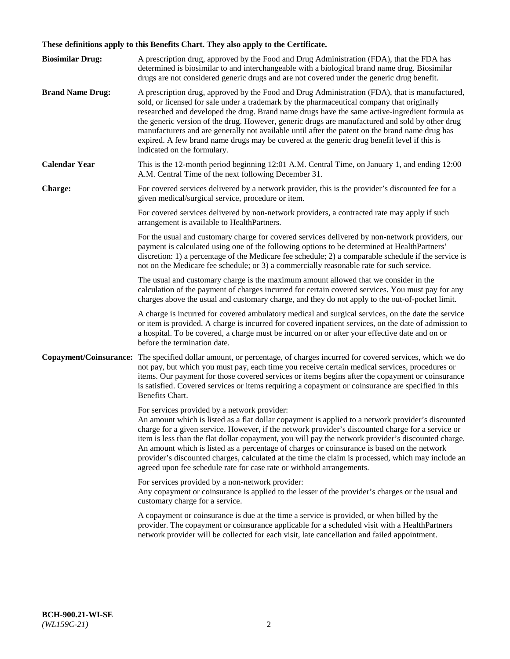# **These definitions apply to this Benefits Chart. They also apply to the Certificate.**

| <b>Biosimilar Drug:</b> | A prescription drug, approved by the Food and Drug Administration (FDA), that the FDA has<br>determined is biosimilar to and interchangeable with a biological brand name drug. Biosimilar<br>drugs are not considered generic drugs and are not covered under the generic drug benefit.                                                                                                                                                                                                                                                                                                                                                     |
|-------------------------|----------------------------------------------------------------------------------------------------------------------------------------------------------------------------------------------------------------------------------------------------------------------------------------------------------------------------------------------------------------------------------------------------------------------------------------------------------------------------------------------------------------------------------------------------------------------------------------------------------------------------------------------|
| <b>Brand Name Drug:</b> | A prescription drug, approved by the Food and Drug Administration (FDA), that is manufactured,<br>sold, or licensed for sale under a trademark by the pharmaceutical company that originally<br>researched and developed the drug. Brand name drugs have the same active-ingredient formula as<br>the generic version of the drug. However, generic drugs are manufactured and sold by other drug<br>manufacturers and are generally not available until after the patent on the brand name drug has<br>expired. A few brand name drugs may be covered at the generic drug benefit level if this is<br>indicated on the formulary.           |
| <b>Calendar Year</b>    | This is the 12-month period beginning 12:01 A.M. Central Time, on January 1, and ending 12:00<br>A.M. Central Time of the next following December 31.                                                                                                                                                                                                                                                                                                                                                                                                                                                                                        |
| <b>Charge:</b>          | For covered services delivered by a network provider, this is the provider's discounted fee for a<br>given medical/surgical service, procedure or item.                                                                                                                                                                                                                                                                                                                                                                                                                                                                                      |
|                         | For covered services delivered by non-network providers, a contracted rate may apply if such<br>arrangement is available to HealthPartners.                                                                                                                                                                                                                                                                                                                                                                                                                                                                                                  |
|                         | For the usual and customary charge for covered services delivered by non-network providers, our<br>payment is calculated using one of the following options to be determined at HealthPartners'<br>discretion: 1) a percentage of the Medicare fee schedule; 2) a comparable schedule if the service is<br>not on the Medicare fee schedule; or 3) a commercially reasonable rate for such service.                                                                                                                                                                                                                                          |
|                         | The usual and customary charge is the maximum amount allowed that we consider in the<br>calculation of the payment of charges incurred for certain covered services. You must pay for any<br>charges above the usual and customary charge, and they do not apply to the out-of-pocket limit.                                                                                                                                                                                                                                                                                                                                                 |
|                         | A charge is incurred for covered ambulatory medical and surgical services, on the date the service<br>or item is provided. A charge is incurred for covered inpatient services, on the date of admission to<br>a hospital. To be covered, a charge must be incurred on or after your effective date and on or<br>before the termination date.                                                                                                                                                                                                                                                                                                |
| Copayment/Coinsurance:  | The specified dollar amount, or percentage, of charges incurred for covered services, which we do<br>not pay, but which you must pay, each time you receive certain medical services, procedures or<br>items. Our payment for those covered services or items begins after the copayment or coinsurance<br>is satisfied. Covered services or items requiring a copayment or coinsurance are specified in this<br>Benefits Chart.                                                                                                                                                                                                             |
|                         | For services provided by a network provider:<br>An amount which is listed as a flat dollar copayment is applied to a network provider's discounted<br>charge for a given service. However, if the network provider's discounted charge for a service or<br>item is less than the flat dollar copayment, you will pay the network provider's discounted charge.<br>An amount which is listed as a percentage of charges or coinsurance is based on the network<br>provider's discounted charges, calculated at the time the claim is processed, which may include an<br>agreed upon fee schedule rate for case rate or withhold arrangements. |
|                         | For services provided by a non-network provider:<br>Any copayment or coinsurance is applied to the lesser of the provider's charges or the usual and<br>customary charge for a service.                                                                                                                                                                                                                                                                                                                                                                                                                                                      |
|                         | A copayment or coinsurance is due at the time a service is provided, or when billed by the<br>provider. The copayment or coinsurance applicable for a scheduled visit with a HealthPartners<br>network provider will be collected for each visit, late cancellation and failed appointment.                                                                                                                                                                                                                                                                                                                                                  |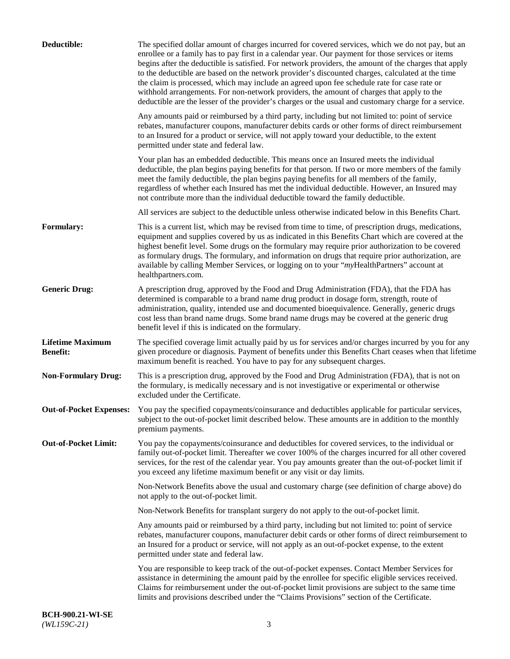| Deductible:                                | The specified dollar amount of charges incurred for covered services, which we do not pay, but an<br>enrollee or a family has to pay first in a calendar year. Our payment for those services or items<br>begins after the deductible is satisfied. For network providers, the amount of the charges that apply<br>to the deductible are based on the network provider's discounted charges, calculated at the time<br>the claim is processed, which may include an agreed upon fee schedule rate for case rate or<br>withhold arrangements. For non-network providers, the amount of charges that apply to the<br>deductible are the lesser of the provider's charges or the usual and customary charge for a service. |
|--------------------------------------------|-------------------------------------------------------------------------------------------------------------------------------------------------------------------------------------------------------------------------------------------------------------------------------------------------------------------------------------------------------------------------------------------------------------------------------------------------------------------------------------------------------------------------------------------------------------------------------------------------------------------------------------------------------------------------------------------------------------------------|
|                                            | Any amounts paid or reimbursed by a third party, including but not limited to: point of service<br>rebates, manufacturer coupons, manufacturer debits cards or other forms of direct reimbursement<br>to an Insured for a product or service, will not apply toward your deductible, to the extent<br>permitted under state and federal law.                                                                                                                                                                                                                                                                                                                                                                            |
|                                            | Your plan has an embedded deductible. This means once an Insured meets the individual<br>deductible, the plan begins paying benefits for that person. If two or more members of the family<br>meet the family deductible, the plan begins paying benefits for all members of the family,<br>regardless of whether each Insured has met the individual deductible. However, an Insured may<br>not contribute more than the individual deductible toward the family deductible.                                                                                                                                                                                                                                           |
|                                            | All services are subject to the deductible unless otherwise indicated below in this Benefits Chart.                                                                                                                                                                                                                                                                                                                                                                                                                                                                                                                                                                                                                     |
| <b>Formulary:</b>                          | This is a current list, which may be revised from time to time, of prescription drugs, medications,<br>equipment and supplies covered by us as indicated in this Benefits Chart which are covered at the<br>highest benefit level. Some drugs on the formulary may require prior authorization to be covered<br>as formulary drugs. The formulary, and information on drugs that require prior authorization, are<br>available by calling Member Services, or logging on to your "myHealthPartners" account at<br>healthpartners.com.                                                                                                                                                                                   |
| <b>Generic Drug:</b>                       | A prescription drug, approved by the Food and Drug Administration (FDA), that the FDA has<br>determined is comparable to a brand name drug product in dosage form, strength, route of<br>administration, quality, intended use and documented bioequivalence. Generally, generic drugs<br>cost less than brand name drugs. Some brand name drugs may be covered at the generic drug<br>benefit level if this is indicated on the formulary.                                                                                                                                                                                                                                                                             |
| <b>Lifetime Maximum</b><br><b>Benefit:</b> | The specified coverage limit actually paid by us for services and/or charges incurred by you for any<br>given procedure or diagnosis. Payment of benefits under this Benefits Chart ceases when that lifetime<br>maximum benefit is reached. You have to pay for any subsequent charges.                                                                                                                                                                                                                                                                                                                                                                                                                                |
| <b>Non-Formulary Drug:</b>                 | This is a prescription drug, approved by the Food and Drug Administration (FDA), that is not on<br>the formulary, is medically necessary and is not investigative or experimental or otherwise<br>excluded under the Certificate.                                                                                                                                                                                                                                                                                                                                                                                                                                                                                       |
|                                            | Out-of-Pocket Expenses: You pay the specified copayments/coinsurance and deductibles applicable for particular services,<br>subject to the out-of-pocket limit described below. These amounts are in addition to the monthly<br>premium payments.                                                                                                                                                                                                                                                                                                                                                                                                                                                                       |
| <b>Out-of-Pocket Limit:</b>                | You pay the copayments/coinsurance and deductibles for covered services, to the individual or<br>family out-of-pocket limit. Thereafter we cover 100% of the charges incurred for all other covered<br>services, for the rest of the calendar year. You pay amounts greater than the out-of-pocket limit if<br>you exceed any lifetime maximum benefit or any visit or day limits.                                                                                                                                                                                                                                                                                                                                      |
|                                            | Non-Network Benefits above the usual and customary charge (see definition of charge above) do<br>not apply to the out-of-pocket limit.                                                                                                                                                                                                                                                                                                                                                                                                                                                                                                                                                                                  |
|                                            | Non-Network Benefits for transplant surgery do not apply to the out-of-pocket limit.                                                                                                                                                                                                                                                                                                                                                                                                                                                                                                                                                                                                                                    |
|                                            | Any amounts paid or reimbursed by a third party, including but not limited to: point of service<br>rebates, manufacturer coupons, manufacturer debit cards or other forms of direct reimbursement to<br>an Insured for a product or service, will not apply as an out-of-pocket expense, to the extent<br>permitted under state and federal law.                                                                                                                                                                                                                                                                                                                                                                        |
|                                            | You are responsible to keep track of the out-of-pocket expenses. Contact Member Services for<br>assistance in determining the amount paid by the enrollee for specific eligible services received.<br>Claims for reimbursement under the out-of-pocket limit provisions are subject to the same time<br>limits and provisions described under the "Claims Provisions" section of the Certificate.                                                                                                                                                                                                                                                                                                                       |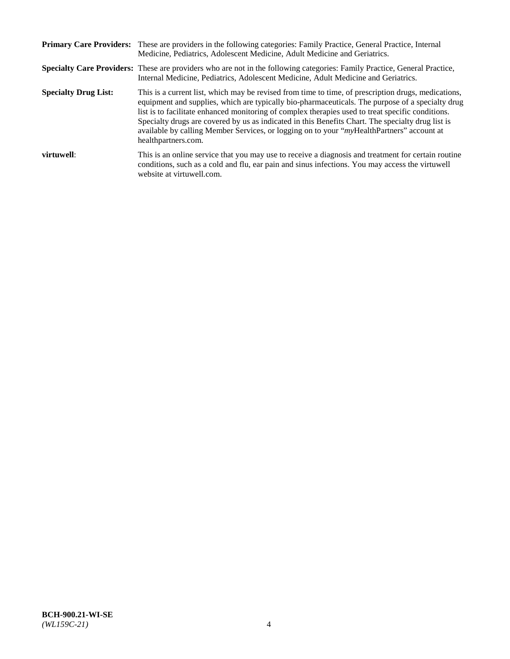|                             | Primary Care Providers: These are providers in the following categories: Family Practice, General Practice, Internal<br>Medicine, Pediatrics, Adolescent Medicine, Adult Medicine and Geriatrics.                                                                                                                                                                                                                                                                                                                                     |
|-----------------------------|---------------------------------------------------------------------------------------------------------------------------------------------------------------------------------------------------------------------------------------------------------------------------------------------------------------------------------------------------------------------------------------------------------------------------------------------------------------------------------------------------------------------------------------|
|                             | <b>Specialty Care Providers:</b> These are providers who are not in the following categories: Family Practice, General Practice,<br>Internal Medicine, Pediatrics, Adolescent Medicine, Adult Medicine and Geriatrics.                                                                                                                                                                                                                                                                                                                |
| <b>Specialty Drug List:</b> | This is a current list, which may be revised from time to time, of prescription drugs, medications,<br>equipment and supplies, which are typically bio-pharmaceuticals. The purpose of a specialty drug<br>list is to facilitate enhanced monitoring of complex therapies used to treat specific conditions.<br>Specialty drugs are covered by us as indicated in this Benefits Chart. The specialty drug list is<br>available by calling Member Services, or logging on to your "myHealthPartners" account at<br>healthpartners.com. |
| virtuwell:                  | This is an online service that you may use to receive a diagnosis and treatment for certain routine<br>conditions, such as a cold and flu, ear pain and sinus infections. You may access the virtuwell<br>website at virtuwell.com.                                                                                                                                                                                                                                                                                                   |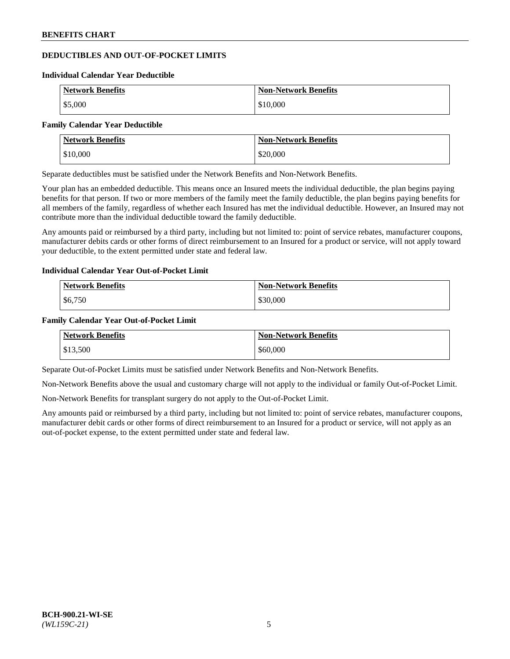# **DEDUCTIBLES AND OUT-OF-POCKET LIMITS**

#### **Individual Calendar Year Deductible**

| <b>Network Benefits</b> | <b>Non-Network Benefits</b> |
|-------------------------|-----------------------------|
| \$5,000                 | \$10,000                    |

#### **Family Calendar Year Deductible**

| <b>Network Benefits</b> | <b>Non-Network Benefits</b> |
|-------------------------|-----------------------------|
| \$10,000                | \$20,000                    |

Separate deductibles must be satisfied under the Network Benefits and Non-Network Benefits.

Your plan has an embedded deductible. This means once an Insured meets the individual deductible, the plan begins paying benefits for that person. If two or more members of the family meet the family deductible, the plan begins paying benefits for all members of the family, regardless of whether each Insured has met the individual deductible. However, an Insured may not contribute more than the individual deductible toward the family deductible.

Any amounts paid or reimbursed by a third party, including but not limited to: point of service rebates, manufacturer coupons, manufacturer debits cards or other forms of direct reimbursement to an Insured for a product or service, will not apply toward your deductible, to the extent permitted under state and federal law.

#### **Individual Calendar Year Out-of-Pocket Limit**

| <b>Network Benefits</b> | <b>Non-Network Benefits</b> |
|-------------------------|-----------------------------|
| \$6,750                 | \$30,000                    |

#### **Family Calendar Year Out-of-Pocket Limit**

| <b>Network Benefits</b> | Non-Network Benefits |
|-------------------------|----------------------|
| \$13,500                | \$60,000             |

Separate Out-of-Pocket Limits must be satisfied under Network Benefits and Non-Network Benefits.

Non-Network Benefits above the usual and customary charge will not apply to the individual or family Out-of-Pocket Limit.

Non-Network Benefits for transplant surgery do not apply to the Out-of-Pocket Limit.

Any amounts paid or reimbursed by a third party, including but not limited to: point of service rebates, manufacturer coupons, manufacturer debit cards or other forms of direct reimbursement to an Insured for a product or service, will not apply as an out-of-pocket expense, to the extent permitted under state and federal law.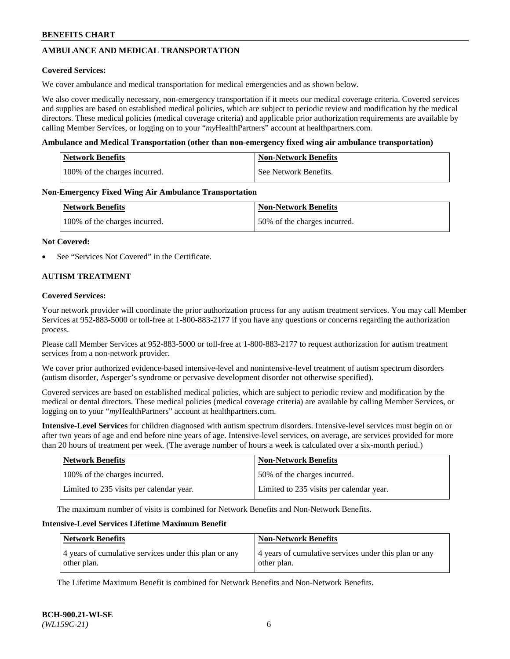# **AMBULANCE AND MEDICAL TRANSPORTATION**

#### **Covered Services:**

We cover ambulance and medical transportation for medical emergencies and as shown below.

We also cover medically necessary, non-emergency transportation if it meets our medical coverage criteria. Covered services and supplies are based on established medical policies, which are subject to periodic review and modification by the medical directors. These medical policies (medical coverage criteria) and applicable prior authorization requirements are available by calling Member Services, or logging on to your "*my*HealthPartners" account a[t healthpartners.com.](https://www.healthpartners.com/hp/index.html)

#### **Ambulance and Medical Transportation (other than non-emergency fixed wing air ambulance transportation)**

| <b>Network Benefits</b>       | <b>Non-Network Benefits</b> |
|-------------------------------|-----------------------------|
| 100% of the charges incurred. | See Network Benefits.       |

#### **Non-Emergency Fixed Wing Air Ambulance Transportation**

| <b>Network Benefits</b>       | <b>Non-Network Benefits</b>  |
|-------------------------------|------------------------------|
| 100% of the charges incurred. | 50% of the charges incurred. |

#### **Not Covered:**

See "Services Not Covered" in the Certificate.

## **AUTISM TREATMENT**

#### **Covered Services:**

Your network provider will coordinate the prior authorization process for any autism treatment services. You may call Member Services at 952-883-5000 or toll-free at 1-800-883-2177 if you have any questions or concerns regarding the authorization process.

Please call Member Services at 952-883-5000 or toll-free at 1-800-883-2177 to request authorization for autism treatment services from a non-network provider.

We cover prior authorized evidence-based intensive-level and nonintensive-level treatment of autism spectrum disorders (autism disorder, Asperger's syndrome or pervasive development disorder not otherwise specified).

Covered services are based on established medical policies, which are subject to periodic review and modification by the medical or dental directors. These medical policies (medical coverage criteria) are available by calling Member Services, or logging on to your "*my*HealthPartners" account at [healthpartners.com.](https://www.healthpartners.com/hp/index.html)

**Intensive-Level Services** for children diagnosed with autism spectrum disorders. Intensive-level services must begin on or after two years of age and end before nine years of age. Intensive-level services, on average, are services provided for more than 20 hours of treatment per week. (The average number of hours a week is calculated over a six-month period.)

| <b>Network Benefits</b>                  | <b>Non-Network Benefits</b>              |
|------------------------------------------|------------------------------------------|
| 100% of the charges incurred.            | 50% of the charges incurred.             |
| Limited to 235 visits per calendar year. | Limited to 235 visits per calendar year. |

The maximum number of visits is combined for Network Benefits and Non-Network Benefits.

#### **Intensive-Level Services Lifetime Maximum Benefit**

| Network Benefits                                                     | <b>Non-Network Benefits</b>                                          |
|----------------------------------------------------------------------|----------------------------------------------------------------------|
| 4 years of cumulative services under this plan or any<br>other plan. | 4 years of cumulative services under this plan or any<br>other plan. |

The Lifetime Maximum Benefit is combined for Network Benefits and Non-Network Benefits.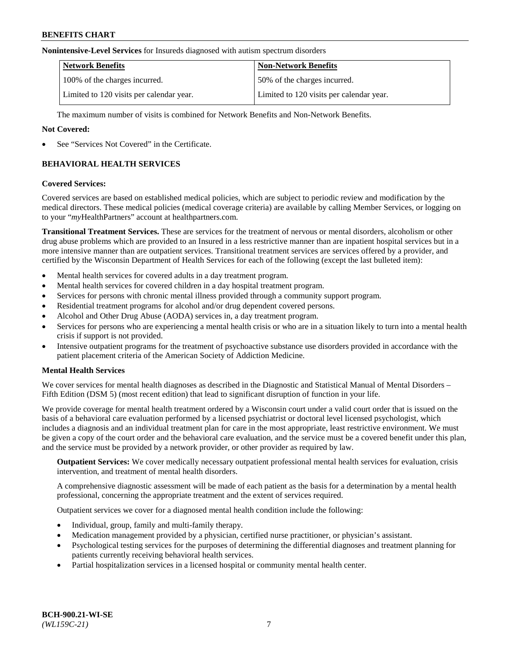#### **Nonintensive-Level Services** for Insureds diagnosed with autism spectrum disorders

| <b>Network Benefits</b>                  | <b>Non-Network Benefits</b>              |
|------------------------------------------|------------------------------------------|
| 100% of the charges incurred.            | 50% of the charges incurred.             |
| Limited to 120 visits per calendar year. | Limited to 120 visits per calendar year. |

The maximum number of visits is combined for Network Benefits and Non-Network Benefits.

#### **Not Covered:**

See "Services Not Covered" in the Certificate.

# **BEHAVIORAL HEALTH SERVICES**

#### **Covered Services:**

Covered services are based on established medical policies, which are subject to periodic review and modification by the medical directors. These medical policies (medical coverage criteria) are available by calling Member Services, or logging on to your "*my*HealthPartners" account at [healthpartners.com.](https://www.healthpartners.com/hp/index.html)

**Transitional Treatment Services.** These are services for the treatment of nervous or mental disorders, alcoholism or other drug abuse problems which are provided to an Insured in a less restrictive manner than are inpatient hospital services but in a more intensive manner than are outpatient services. Transitional treatment services are services offered by a provider, and certified by the Wisconsin Department of Health Services for each of the following (except the last bulleted item):

- Mental health services for covered adults in a day treatment program.
- Mental health services for covered children in a day hospital treatment program.
- Services for persons with chronic mental illness provided through a community support program.
- Residential treatment programs for alcohol and/or drug dependent covered persons.
- Alcohol and Other Drug Abuse (AODA) services in, a day treatment program.
- Services for persons who are experiencing a mental health crisis or who are in a situation likely to turn into a mental health crisis if support is not provided.
- Intensive outpatient programs for the treatment of psychoactive substance use disorders provided in accordance with the patient placement criteria of the American Society of Addiction Medicine.

## **Mental Health Services**

We cover services for mental health diagnoses as described in the Diagnostic and Statistical Manual of Mental Disorders – Fifth Edition (DSM 5) (most recent edition) that lead to significant disruption of function in your life.

We provide coverage for mental health treatment ordered by a Wisconsin court under a valid court order that is issued on the basis of a behavioral care evaluation performed by a licensed psychiatrist or doctoral level licensed psychologist, which includes a diagnosis and an individual treatment plan for care in the most appropriate, least restrictive environment. We must be given a copy of the court order and the behavioral care evaluation, and the service must be a covered benefit under this plan, and the service must be provided by a network provider, or other provider as required by law.

**Outpatient Services:** We cover medically necessary outpatient professional mental health services for evaluation, crisis intervention, and treatment of mental health disorders.

A comprehensive diagnostic assessment will be made of each patient as the basis for a determination by a mental health professional, concerning the appropriate treatment and the extent of services required.

Outpatient services we cover for a diagnosed mental health condition include the following:

- Individual, group, family and multi-family therapy.
- Medication management provided by a physician, certified nurse practitioner, or physician's assistant.
- Psychological testing services for the purposes of determining the differential diagnoses and treatment planning for patients currently receiving behavioral health services.
- Partial hospitalization services in a licensed hospital or community mental health center.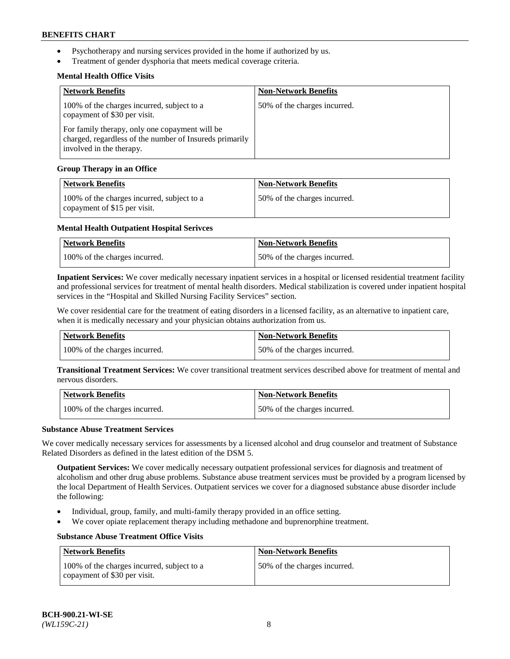- Psychotherapy and nursing services provided in the home if authorized by us.
- Treatment of gender dysphoria that meets medical coverage criteria.

# **Mental Health Office Visits**

| <b>Network Benefits</b>                                                                                                               | <b>Non-Network Benefits</b>  |
|---------------------------------------------------------------------------------------------------------------------------------------|------------------------------|
| 100% of the charges incurred, subject to a<br>copayment of \$30 per visit.                                                            | 50% of the charges incurred. |
| For family therapy, only one copayment will be<br>charged, regardless of the number of Insureds primarily<br>involved in the therapy. |                              |

## **Group Therapy in an Office**

| <b>Network Benefits</b>                                                    | <b>Non-Network Benefits</b>  |
|----------------------------------------------------------------------------|------------------------------|
| 100% of the charges incurred, subject to a<br>copayment of \$15 per visit. | 50% of the charges incurred. |

## **Mental Health Outpatient Hospital Serivces**

| Network Benefits              | <b>Non-Network Benefits</b>  |
|-------------------------------|------------------------------|
| 100% of the charges incurred. | 50% of the charges incurred. |

**Inpatient Services:** We cover medically necessary inpatient services in a hospital or licensed residential treatment facility and professional services for treatment of mental health disorders. Medical stabilization is covered under inpatient hospital services in the "Hospital and Skilled Nursing Facility Services" section.

We cover residential care for the treatment of eating disorders in a licensed facility, as an alternative to inpatient care, when it is medically necessary and your physician obtains authorization from us.

| <b>Network Benefits</b>       | <b>Non-Network Benefits</b>  |
|-------------------------------|------------------------------|
| 100% of the charges incurred. | 50% of the charges incurred. |

**Transitional Treatment Services:** We cover transitional treatment services described above for treatment of mental and nervous disorders.

| Network Benefits              | Non-Network Benefits         |
|-------------------------------|------------------------------|
| 100% of the charges incurred. | 50% of the charges incurred. |

#### **Substance Abuse Treatment Services**

We cover medically necessary services for assessments by a licensed alcohol and drug counselor and treatment of Substance Related Disorders as defined in the latest edition of the DSM 5.

**Outpatient Services:** We cover medically necessary outpatient professional services for diagnosis and treatment of alcoholism and other drug abuse problems. Substance abuse treatment services must be provided by a program licensed by the local Department of Health Services. Outpatient services we cover for a diagnosed substance abuse disorder include the following:

- Individual, group, family, and multi-family therapy provided in an office setting.
- We cover opiate replacement therapy including methadone and buprenorphine treatment.

## **Substance Abuse Treatment Office Visits**

| Network Benefits                                                           | <b>Non-Network Benefits</b>  |
|----------------------------------------------------------------------------|------------------------------|
| 100% of the charges incurred, subject to a<br>copayment of \$30 per visit. | 50% of the charges incurred. |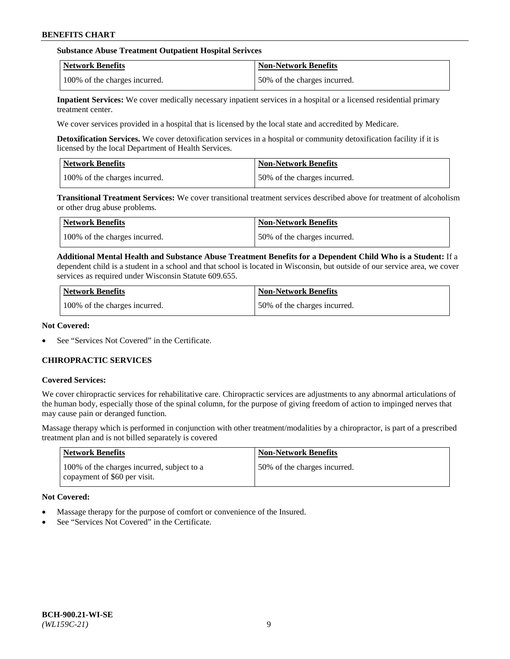## **Substance Abuse Treatment Outpatient Hospital Serivces**

| Network Benefits              | <b>Non-Network Benefits</b>  |
|-------------------------------|------------------------------|
| 100% of the charges incurred. | 50% of the charges incurred. |

**Inpatient Services:** We cover medically necessary inpatient services in a hospital or a licensed residential primary treatment center.

We cover services provided in a hospital that is licensed by the local state and accredited by Medicare.

**Detoxification Services.** We cover detoxification services in a hospital or community detoxification facility if it is licensed by the local Department of Health Services.

| <b>Network Benefits</b>       | <b>Non-Network Benefits</b>  |
|-------------------------------|------------------------------|
| 100% of the charges incurred. | 50% of the charges incurred. |

**Transitional Treatment Services:** We cover transitional treatment services described above for treatment of alcoholism or other drug abuse problems.

| Network Benefits              | <b>Non-Network Benefits</b>  |
|-------------------------------|------------------------------|
| 100% of the charges incurred. | 50% of the charges incurred. |

**Additional Mental Health and Substance Abuse Treatment Benefits for a Dependent Child Who is a Student:** If a dependent child is a student in a school and that school is located in Wisconsin, but outside of our service area, we cover services as required under Wisconsin Statute 609.655.

| <b>Network Benefits</b>       | <b>Non-Network Benefits</b>  |
|-------------------------------|------------------------------|
| 100% of the charges incurred. | 50% of the charges incurred. |

#### **Not Covered:**

See "Services Not Covered" in the Certificate.

## **CHIROPRACTIC SERVICES**

#### **Covered Services:**

We cover chiropractic services for rehabilitative care. Chiropractic services are adjustments to any abnormal articulations of the human body, especially those of the spinal column, for the purpose of giving freedom of action to impinged nerves that may cause pain or deranged function.

Massage therapy which is performed in conjunction with other treatment/modalities by a chiropractor, is part of a prescribed treatment plan and is not billed separately is covered

| <b>Network Benefits</b>                                                    | <b>Non-Network Benefits</b>  |
|----------------------------------------------------------------------------|------------------------------|
| 100% of the charges incurred, subject to a<br>copayment of \$60 per visit. | 50% of the charges incurred. |

## **Not Covered:**

- Massage therapy for the purpose of comfort or convenience of the Insured.
- See "Services Not Covered" in the Certificate.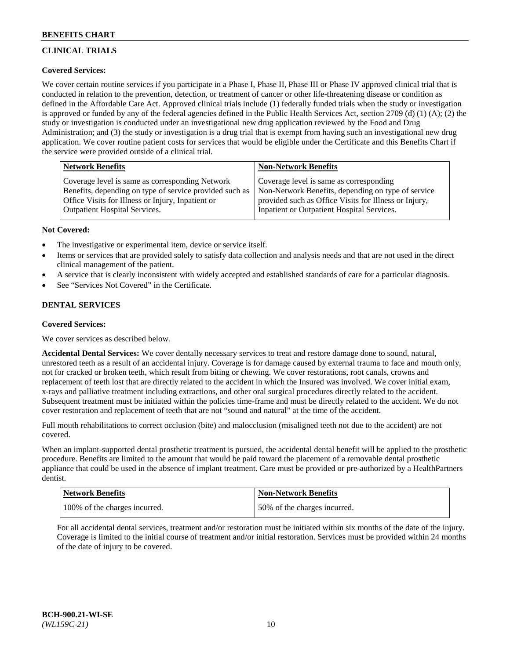# **CLINICAL TRIALS**

# **Covered Services:**

We cover certain routine services if you participate in a Phase I, Phase II, Phase III or Phase IV approved clinical trial that is conducted in relation to the prevention, detection, or treatment of cancer or other life-threatening disease or condition as defined in the Affordable Care Act. Approved clinical trials include (1) federally funded trials when the study or investigation is approved or funded by any of the federal agencies defined in the Public Health Services Act, section 2709 (d) (1) (A); (2) the study or investigation is conducted under an investigational new drug application reviewed by the Food and Drug Administration; and (3) the study or investigation is a drug trial that is exempt from having such an investigational new drug application. We cover routine patient costs for services that would be eligible under the Certificate and this Benefits Chart if the service were provided outside of a clinical trial.

| Network Benefits                                        | <b>Non-Network Benefits</b>                           |
|---------------------------------------------------------|-------------------------------------------------------|
| Coverage level is same as corresponding Network         | Coverage level is same as corresponding               |
| Benefits, depending on type of service provided such as | Non-Network Benefits, depending on type of service    |
| Office Visits for Illness or Injury, Inpatient or       | provided such as Office Visits for Illness or Injury, |
| Outpatient Hospital Services.                           | Inpatient or Outpatient Hospital Services.            |

## **Not Covered:**

- The investigative or experimental item, device or service itself.
- Items or services that are provided solely to satisfy data collection and analysis needs and that are not used in the direct clinical management of the patient.
- A service that is clearly inconsistent with widely accepted and established standards of care for a particular diagnosis.
- See "Services Not Covered" in the Certificate.

## **DENTAL SERVICES**

## **Covered Services:**

We cover services as described below.

**Accidental Dental Services:** We cover dentally necessary services to treat and restore damage done to sound, natural, unrestored teeth as a result of an accidental injury. Coverage is for damage caused by external trauma to face and mouth only, not for cracked or broken teeth, which result from biting or chewing. We cover restorations, root canals, crowns and replacement of teeth lost that are directly related to the accident in which the Insured was involved. We cover initial exam, x-rays and palliative treatment including extractions, and other oral surgical procedures directly related to the accident. Subsequent treatment must be initiated within the policies time-frame and must be directly related to the accident. We do not cover restoration and replacement of teeth that are not "sound and natural" at the time of the accident.

Full mouth rehabilitations to correct occlusion (bite) and malocclusion (misaligned teeth not due to the accident) are not covered.

When an implant-supported dental prosthetic treatment is pursued, the accidental dental benefit will be applied to the prosthetic procedure. Benefits are limited to the amount that would be paid toward the placement of a removable dental prosthetic appliance that could be used in the absence of implant treatment. Care must be provided or pre-authorized by a HealthPartners dentist.

| Network Benefits              | <b>Non-Network Benefits</b>  |
|-------------------------------|------------------------------|
| 100% of the charges incurred. | 50% of the charges incurred. |

For all accidental dental services, treatment and/or restoration must be initiated within six months of the date of the injury. Coverage is limited to the initial course of treatment and/or initial restoration. Services must be provided within 24 months of the date of injury to be covered.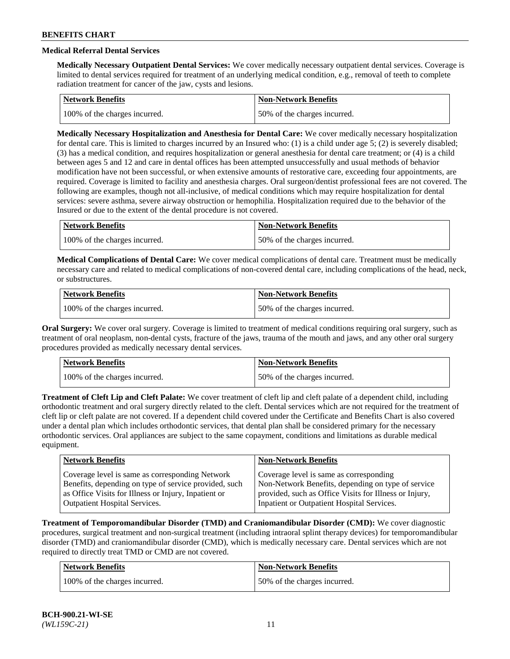# **Medical Referral Dental Services**

**Medically Necessary Outpatient Dental Services:** We cover medically necessary outpatient dental services. Coverage is limited to dental services required for treatment of an underlying medical condition, e.g., removal of teeth to complete radiation treatment for cancer of the jaw, cysts and lesions.

| <b>Network Benefits</b>       | Non-Network Benefits         |
|-------------------------------|------------------------------|
| 100% of the charges incurred. | 50% of the charges incurred. |

**Medically Necessary Hospitalization and Anesthesia for Dental Care:** We cover medically necessary hospitalization for dental care. This is limited to charges incurred by an Insured who: (1) is a child under age  $5$ ; (2) is severely disabled; (3) has a medical condition, and requires hospitalization or general anesthesia for dental care treatment; or (4) is a child between ages 5 and 12 and care in dental offices has been attempted unsuccessfully and usual methods of behavior modification have not been successful, or when extensive amounts of restorative care, exceeding four appointments, are required. Coverage is limited to facility and anesthesia charges. Oral surgeon/dentist professional fees are not covered. The following are examples, though not all-inclusive, of medical conditions which may require hospitalization for dental services: severe asthma, severe airway obstruction or hemophilia. Hospitalization required due to the behavior of the Insured or due to the extent of the dental procedure is not covered.

| Network Benefits              | <b>Non-Network Benefits</b>  |
|-------------------------------|------------------------------|
| 100% of the charges incurred. | 50% of the charges incurred. |

**Medical Complications of Dental Care:** We cover medical complications of dental care. Treatment must be medically necessary care and related to medical complications of non-covered dental care, including complications of the head, neck, or substructures.

| Network Benefits              | Non-Network Benefits         |
|-------------------------------|------------------------------|
| 100% of the charges incurred. | 50% of the charges incurred. |

**Oral Surgery:** We cover oral surgery. Coverage is limited to treatment of medical conditions requiring oral surgery, such as treatment of oral neoplasm, non-dental cysts, fracture of the jaws, trauma of the mouth and jaws, and any other oral surgery procedures provided as medically necessary dental services.

| Network Benefits              | <b>Non-Network Benefits</b>  |
|-------------------------------|------------------------------|
| 100% of the charges incurred. | 50% of the charges incurred. |

**Treatment of Cleft Lip and Cleft Palate:** We cover treatment of cleft lip and cleft palate of a dependent child, including orthodontic treatment and oral surgery directly related to the cleft. Dental services which are not required for the treatment of cleft lip or cleft palate are not covered. If a dependent child covered under the Certificate and Benefits Chart is also covered under a dental plan which includes orthodontic services, that dental plan shall be considered primary for the necessary orthodontic services. Oral appliances are subject to the same copayment, conditions and limitations as durable medical equipment.

| <b>Network Benefits</b>                               | <b>Non-Network Benefits</b>                            |
|-------------------------------------------------------|--------------------------------------------------------|
| Coverage level is same as corresponding Network       | Coverage level is same as corresponding                |
| Benefits, depending on type of service provided, such | Non-Network Benefits, depending on type of service     |
| as Office Visits for Illness or Injury, Inpatient or  | provided, such as Office Visits for Illness or Injury, |
| Outpatient Hospital Services.                         | Inpatient or Outpatient Hospital Services.             |

**Treatment of Temporomandibular Disorder (TMD) and Craniomandibular Disorder (CMD):** We cover diagnostic procedures, surgical treatment and non-surgical treatment (including intraoral splint therapy devices) for temporomandibular disorder (TMD) and craniomandibular disorder (CMD), which is medically necessary care. Dental services which are not required to directly treat TMD or CMD are not covered.

| <b>Network Benefits</b>       | <b>Non-Network Benefits</b>  |
|-------------------------------|------------------------------|
| 100% of the charges incurred. | 50% of the charges incurred. |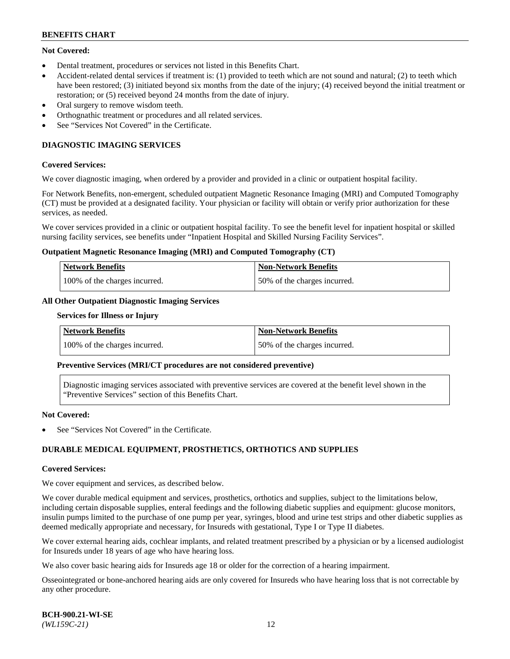# **Not Covered:**

- Dental treatment, procedures or services not listed in this Benefits Chart.
- Accident-related dental services if treatment is: (1) provided to teeth which are not sound and natural; (2) to teeth which have been restored; (3) initiated beyond six months from the date of the injury; (4) received beyond the initial treatment or restoration; or (5) received beyond 24 months from the date of injury.
- Oral surgery to remove wisdom teeth.
- Orthognathic treatment or procedures and all related services.
- See "Services Not Covered" in the Certificate.

# **DIAGNOSTIC IMAGING SERVICES**

#### **Covered Services:**

We cover diagnostic imaging, when ordered by a provider and provided in a clinic or outpatient hospital facility.

For Network Benefits, non-emergent, scheduled outpatient Magnetic Resonance Imaging (MRI) and Computed Tomography (CT) must be provided at a designated facility. Your physician or facility will obtain or verify prior authorization for these services, as needed.

We cover services provided in a clinic or outpatient hospital facility. To see the benefit level for inpatient hospital or skilled nursing facility services, see benefits under "Inpatient Hospital and Skilled Nursing Facility Services".

#### **Outpatient Magnetic Resonance Imaging (MRI) and Computed Tomography (CT)**

| <b>Network Benefits</b>       | <b>Non-Network Benefits</b>  |
|-------------------------------|------------------------------|
| 100% of the charges incurred. | 50% of the charges incurred. |

# **All Other Outpatient Diagnostic Imaging Services**

#### **Services for Illness or Injury**

| <b>Network Benefits</b>       | Non-Network Benefits         |
|-------------------------------|------------------------------|
| 100% of the charges incurred. | 50% of the charges incurred. |

#### **Preventive Services (MRI/CT procedures are not considered preventive)**

Diagnostic imaging services associated with preventive services are covered at the benefit level shown in the "Preventive Services" section of this Benefits Chart.

#### **Not Covered:**

See "Services Not Covered" in the Certificate.

## **DURABLE MEDICAL EQUIPMENT, PROSTHETICS, ORTHOTICS AND SUPPLIES**

#### **Covered Services:**

We cover equipment and services, as described below.

We cover durable medical equipment and services, prosthetics, orthotics and supplies, subject to the limitations below, including certain disposable supplies, enteral feedings and the following diabetic supplies and equipment: glucose monitors, insulin pumps limited to the purchase of one pump per year, syringes, blood and urine test strips and other diabetic supplies as deemed medically appropriate and necessary, for Insureds with gestational, Type I or Type II diabetes.

We cover external hearing aids, cochlear implants, and related treatment prescribed by a physician or by a licensed audiologist for Insureds under 18 years of age who have hearing loss.

We also cover basic hearing aids for Insureds age 18 or older for the correction of a hearing impairment.

Osseointegrated or bone-anchored hearing aids are only covered for Insureds who have hearing loss that is not correctable by any other procedure.

| <b>BCH-900.21-WI-SE</b> |  |
|-------------------------|--|
| $(WLI59C-21)$           |  |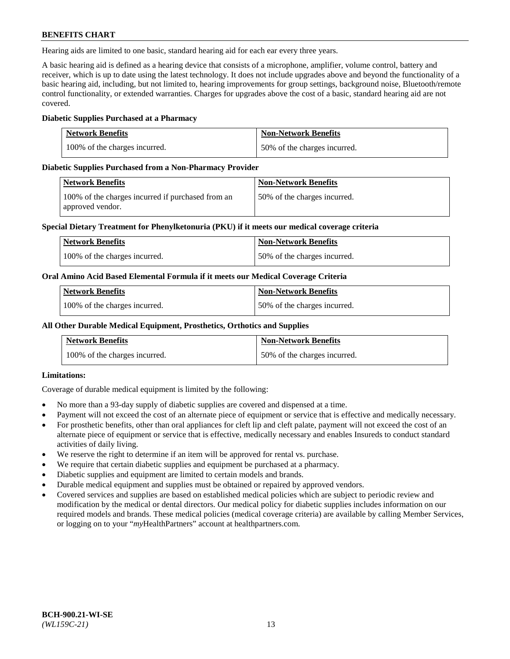Hearing aids are limited to one basic, standard hearing aid for each ear every three years.

A basic hearing aid is defined as a hearing device that consists of a microphone, amplifier, volume control, battery and receiver, which is up to date using the latest technology. It does not include upgrades above and beyond the functionality of a basic hearing aid, including, but not limited to, hearing improvements for group settings, background noise, Bluetooth/remote control functionality, or extended warranties. Charges for upgrades above the cost of a basic, standard hearing aid are not covered.

## **Diabetic Supplies Purchased at a Pharmacy**

| <b>Network Benefits</b>       | <b>Non-Network Benefits</b>  |
|-------------------------------|------------------------------|
| 100% of the charges incurred. | 50% of the charges incurred. |

## **Diabetic Supplies Purchased from a Non-Pharmacy Provider**

| Network Benefits                                                      | <b>Non-Network Benefits</b>  |
|-----------------------------------------------------------------------|------------------------------|
| 100% of the charges incurred if purchased from an<br>approved vendor. | 50% of the charges incurred. |

## **Special Dietary Treatment for Phenylketonuria (PKU) if it meets our medical coverage criteria**

| Network Benefits              | <b>Non-Network Benefits</b>  |
|-------------------------------|------------------------------|
| 100% of the charges incurred. | 50% of the charges incurred. |

## **Oral Amino Acid Based Elemental Formula if it meets our Medical Coverage Criteria**

| <b>Network Benefits</b>       | <b>Non-Network Benefits</b>  |
|-------------------------------|------------------------------|
| 100% of the charges incurred. | 50% of the charges incurred. |

## **All Other Durable Medical Equipment, Prosthetics, Orthotics and Supplies**

| <b>Network Benefits</b>       | <b>Non-Network Benefits</b>  |
|-------------------------------|------------------------------|
| 100% of the charges incurred. | 50% of the charges incurred. |

## **Limitations:**

Coverage of durable medical equipment is limited by the following:

- No more than a 93-day supply of diabetic supplies are covered and dispensed at a time.
- Payment will not exceed the cost of an alternate piece of equipment or service that is effective and medically necessary.
- For prosthetic benefits, other than oral appliances for cleft lip and cleft palate, payment will not exceed the cost of an alternate piece of equipment or service that is effective, medically necessary and enables Insureds to conduct standard activities of daily living.
- We reserve the right to determine if an item will be approved for rental vs. purchase.
- We require that certain diabetic supplies and equipment be purchased at a pharmacy.
- Diabetic supplies and equipment are limited to certain models and brands.
- Durable medical equipment and supplies must be obtained or repaired by approved vendors.
- Covered services and supplies are based on established medical policies which are subject to periodic review and modification by the medical or dental directors. Our medical policy for diabetic supplies includes information on our required models and brands. These medical policies (medical coverage criteria) are available by calling Member Services, or logging on to your "*my*HealthPartners" account a[t healthpartners.com.](https://www.healthpartners.com/hp/index.html)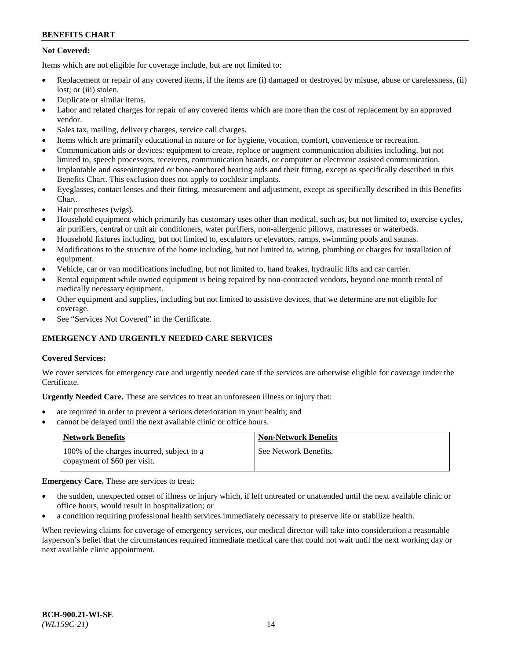# **Not Covered:**

Items which are not eligible for coverage include, but are not limited to:

- Replacement or repair of any covered items, if the items are (i) damaged or destroyed by misuse, abuse or carelessness, (ii) lost; or (iii) stolen.
- Duplicate or similar items.
- Labor and related charges for repair of any covered items which are more than the cost of replacement by an approved vendor.
- Sales tax, mailing, delivery charges, service call charges.
- Items which are primarily educational in nature or for hygiene, vocation, comfort, convenience or recreation.
- Communication aids or devices: equipment to create, replace or augment communication abilities including, but not limited to, speech processors, receivers, communication boards, or computer or electronic assisted communication.
- Implantable and osseointegrated or bone-anchored hearing aids and their fitting, except as specifically described in this Benefits Chart. This exclusion does not apply to cochlear implants.
- Eyeglasses, contact lenses and their fitting, measurement and adjustment, except as specifically described in this Benefits Chart.
- Hair prostheses (wigs).
- Household equipment which primarily has customary uses other than medical, such as, but not limited to, exercise cycles, air purifiers, central or unit air conditioners, water purifiers, non-allergenic pillows, mattresses or waterbeds.
- Household fixtures including, but not limited to, escalators or elevators, ramps, swimming pools and saunas.
- Modifications to the structure of the home including, but not limited to, wiring, plumbing or charges for installation of equipment.
- Vehicle, car or van modifications including, but not limited to, hand brakes, hydraulic lifts and car carrier.
- Rental equipment while owned equipment is being repaired by non-contracted vendors, beyond one month rental of medically necessary equipment.
- Other equipment and supplies, including but not limited to assistive devices, that we determine are not eligible for coverage.
- See "Services Not Covered" in the Certificate.

# **EMERGENCY AND URGENTLY NEEDED CARE SERVICES**

## **Covered Services:**

We cover services for emergency care and urgently needed care if the services are otherwise eligible for coverage under the Certificate.

**Urgently Needed Care.** These are services to treat an unforeseen illness or injury that:

- are required in order to prevent a serious deterioration in your health; and
- cannot be delayed until the next available clinic or office hours.

| <b>Network Benefits</b>                                                    | <b>Non-Network Benefits</b> |
|----------------------------------------------------------------------------|-----------------------------|
| 100% of the charges incurred, subject to a<br>copayment of \$60 per visit. | See Network Benefits.       |

## **Emergency Care.** These are services to treat:

- the sudden, unexpected onset of illness or injury which, if left untreated or unattended until the next available clinic or office hours, would result in hospitalization; or
- a condition requiring professional health services immediately necessary to preserve life or stabilize health.

When reviewing claims for coverage of emergency services, our medical director will take into consideration a reasonable layperson's belief that the circumstances required immediate medical care that could not wait until the next working day or next available clinic appointment.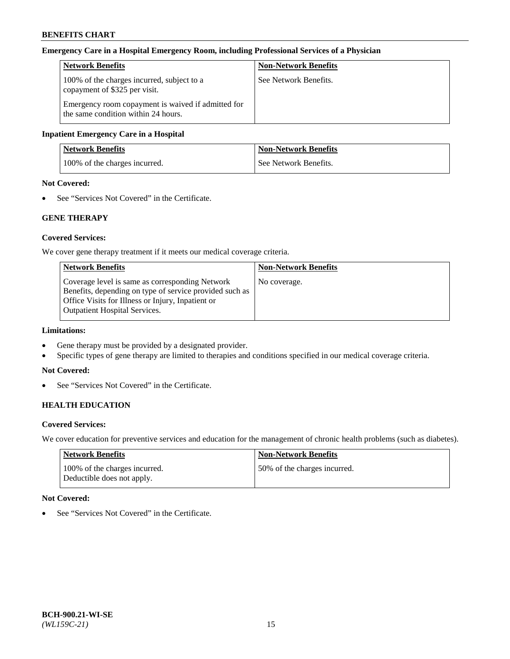#### **Emergency Care in a Hospital Emergency Room, including Professional Services of a Physician**

| <b>Network Benefits</b>                                                                   | <b>Non-Network Benefits</b> |
|-------------------------------------------------------------------------------------------|-----------------------------|
| 100% of the charges incurred, subject to a<br>copayment of \$325 per visit.               | See Network Benefits.       |
| Emergency room copayment is waived if admitted for<br>the same condition within 24 hours. |                             |

#### **Inpatient Emergency Care in a Hospital**

| <b>Network Benefits</b>       | <b>Non-Network Benefits</b> |
|-------------------------------|-----------------------------|
| 100% of the charges incurred. | See Network Benefits.       |

# **Not Covered:**

• See "Services Not Covered" in the Certificate.

## **GENE THERAPY**

## **Covered Services:**

We cover gene therapy treatment if it meets our medical coverage criteria.

| <b>Non-Network Benefits</b> |
|-----------------------------|
| No coverage.                |
|                             |
|                             |
|                             |
|                             |

# **Limitations:**

- Gene therapy must be provided by a designated provider.
- Specific types of gene therapy are limited to therapies and conditions specified in our medical coverage criteria.

#### **Not Covered:**

• See "Services Not Covered" in the Certificate.

## **HEALTH EDUCATION**

#### **Covered Services:**

We cover education for preventive services and education for the management of chronic health problems (such as diabetes).

| <b>Network Benefits</b>                                     | <b>Non-Network Benefits</b>  |
|-------------------------------------------------------------|------------------------------|
| 100% of the charges incurred.<br>Deductible does not apply. | 50% of the charges incurred. |

## **Not Covered:**

• See "Services Not Covered" in the Certificate.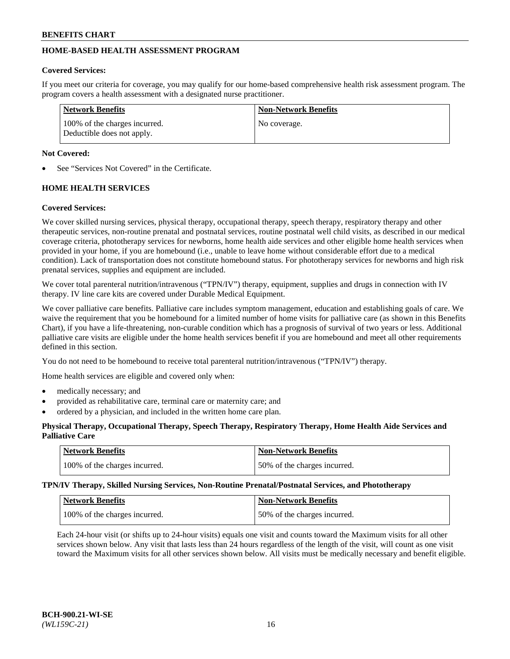# **HOME-BASED HEALTH ASSESSMENT PROGRAM**

## **Covered Services:**

If you meet our criteria for coverage, you may qualify for our home-based comprehensive health risk assessment program. The program covers a health assessment with a designated nurse practitioner.

| <b>Network Benefits</b>                                     | <b>Non-Network Benefits</b> |
|-------------------------------------------------------------|-----------------------------|
| 100% of the charges incurred.<br>Deductible does not apply. | No coverage.                |

# **Not Covered:**

See "Services Not Covered" in the Certificate.

# **HOME HEALTH SERVICES**

# **Covered Services:**

We cover skilled nursing services, physical therapy, occupational therapy, speech therapy, respiratory therapy and other therapeutic services, non-routine prenatal and postnatal services, routine postnatal well child visits, as described in our medical coverage criteria, phototherapy services for newborns, home health aide services and other eligible home health services when provided in your home, if you are homebound (i.e., unable to leave home without considerable effort due to a medical condition). Lack of transportation does not constitute homebound status. For phototherapy services for newborns and high risk prenatal services, supplies and equipment are included.

We cover total parenteral nutrition/intravenous ("TPN/IV") therapy, equipment, supplies and drugs in connection with IV therapy. IV line care kits are covered under Durable Medical Equipment.

We cover palliative care benefits. Palliative care includes symptom management, education and establishing goals of care. We waive the requirement that you be homebound for a limited number of home visits for palliative care (as shown in this Benefits Chart), if you have a life-threatening, non-curable condition which has a prognosis of survival of two years or less. Additional palliative care visits are eligible under the home health services benefit if you are homebound and meet all other requirements defined in this section.

You do not need to be homebound to receive total parenteral nutrition/intravenous ("TPN/IV") therapy.

Home health services are eligible and covered only when:

- medically necessary; and
- provided as rehabilitative care, terminal care or maternity care; and
- ordered by a physician, and included in the written home care plan.

## **Physical Therapy, Occupational Therapy, Speech Therapy, Respiratory Therapy, Home Health Aide Services and Palliative Care**

| Network Benefits              | <b>Non-Network Benefits</b>  |
|-------------------------------|------------------------------|
| 100% of the charges incurred. | 50% of the charges incurred. |

**TPN/IV Therapy, Skilled Nursing Services, Non-Routine Prenatal/Postnatal Services, and Phototherapy**

| Network Benefits              | <b>Non-Network Benefits</b>  |
|-------------------------------|------------------------------|
| 100% of the charges incurred. | 50% of the charges incurred. |

Each 24-hour visit (or shifts up to 24-hour visits) equals one visit and counts toward the Maximum visits for all other services shown below. Any visit that lasts less than 24 hours regardless of the length of the visit, will count as one visit toward the Maximum visits for all other services shown below. All visits must be medically necessary and benefit eligible.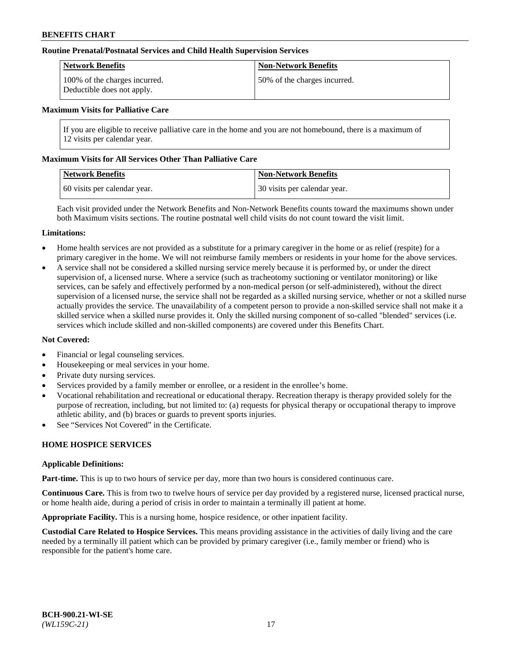#### **Routine Prenatal/Postnatal Services and Child Health Supervision Services**

| Network Benefits                                            | <b>Non-Network Benefits</b>  |
|-------------------------------------------------------------|------------------------------|
| 100% of the charges incurred.<br>Deductible does not apply. | 50% of the charges incurred. |

#### **Maximum Visits for Palliative Care**

If you are eligible to receive palliative care in the home and you are not homebound, there is a maximum of 12 visits per calendar year.

#### **Maximum Visits for All Services Other Than Palliative Care**

| <b>Network Benefits</b>      | <b>Non-Network Benefits</b>  |
|------------------------------|------------------------------|
| 60 visits per calendar year. | 30 visits per calendar year. |

Each visit provided under the Network Benefits and Non-Network Benefits counts toward the maximums shown under both Maximum visits sections. The routine postnatal well child visits do not count toward the visit limit.

#### **Limitations:**

- Home health services are not provided as a substitute for a primary caregiver in the home or as relief (respite) for a primary caregiver in the home. We will not reimburse family members or residents in your home for the above services.
- A service shall not be considered a skilled nursing service merely because it is performed by, or under the direct supervision of, a licensed nurse. Where a service (such as tracheotomy suctioning or ventilator monitoring) or like services, can be safely and effectively performed by a non-medical person (or self-administered), without the direct supervision of a licensed nurse, the service shall not be regarded as a skilled nursing service, whether or not a skilled nurse actually provides the service. The unavailability of a competent person to provide a non-skilled service shall not make it a skilled service when a skilled nurse provides it. Only the skilled nursing component of so-called "blended" services (i.e. services which include skilled and non-skilled components) are covered under this Benefits Chart.

#### **Not Covered:**

- Financial or legal counseling services.
- Housekeeping or meal services in your home.
- Private duty nursing services.
- Services provided by a family member or enrollee, or a resident in the enrollee's home.
- Vocational rehabilitation and recreational or educational therapy. Recreation therapy is therapy provided solely for the purpose of recreation, including, but not limited to: (a) requests for physical therapy or occupational therapy to improve athletic ability, and (b) braces or guards to prevent sports injuries.
- See "Services Not Covered" in the Certificate.

## **HOME HOSPICE SERVICES**

#### **Applicable Definitions:**

**Part-time.** This is up to two hours of service per day, more than two hours is considered continuous care.

**Continuous Care.** This is from two to twelve hours of service per day provided by a registered nurse, licensed practical nurse, or home health aide, during a period of crisis in order to maintain a terminally ill patient at home.

**Appropriate Facility.** This is a nursing home, hospice residence, or other inpatient facility.

**Custodial Care Related to Hospice Services.** This means providing assistance in the activities of daily living and the care needed by a terminally ill patient which can be provided by primary caregiver (i.e., family member or friend) who is responsible for the patient's home care.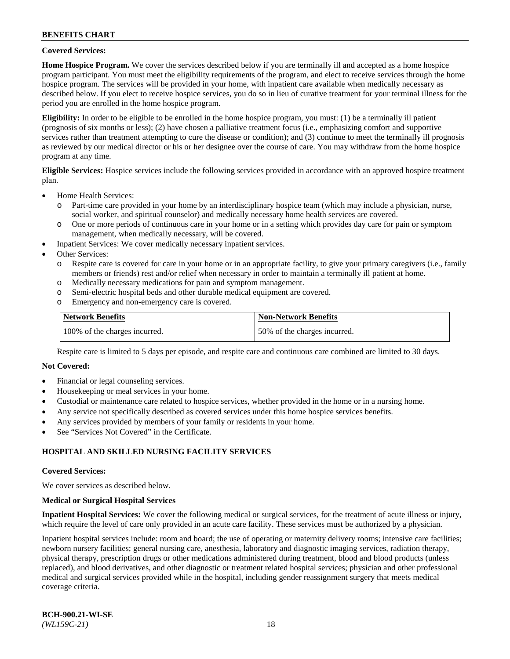#### **Covered Services:**

**Home Hospice Program.** We cover the services described below if you are terminally ill and accepted as a home hospice program participant. You must meet the eligibility requirements of the program, and elect to receive services through the home hospice program. The services will be provided in your home, with inpatient care available when medically necessary as described below. If you elect to receive hospice services, you do so in lieu of curative treatment for your terminal illness for the period you are enrolled in the home hospice program.

**Eligibility:** In order to be eligible to be enrolled in the home hospice program, you must: (1) be a terminally ill patient (prognosis of six months or less); (2) have chosen a palliative treatment focus (i.e., emphasizing comfort and supportive services rather than treatment attempting to cure the disease or condition); and (3) continue to meet the terminally ill prognosis as reviewed by our medical director or his or her designee over the course of care. You may withdraw from the home hospice program at any time.

**Eligible Services:** Hospice services include the following services provided in accordance with an approved hospice treatment plan.

- Home Health Services:
	- o Part-time care provided in your home by an interdisciplinary hospice team (which may include a physician, nurse, social worker, and spiritual counselor) and medically necessary home health services are covered.
	- o One or more periods of continuous care in your home or in a setting which provides day care for pain or symptom management, when medically necessary, will be covered.
	- Inpatient Services: We cover medically necessary inpatient services.
- Other Services:
	- o Respite care is covered for care in your home or in an appropriate facility, to give your primary caregivers (i.e., family members or friends) rest and/or relief when necessary in order to maintain a terminally ill patient at home.
	- o Medically necessary medications for pain and symptom management.
	- o Semi-electric hospital beds and other durable medical equipment are covered.
	- o Emergency and non-emergency care is covered.

| Network Benefits              | <b>Non-Network Benefits</b>  |
|-------------------------------|------------------------------|
| 100% of the charges incurred. | 50% of the charges incurred. |

Respite care is limited to 5 days per episode, and respite care and continuous care combined are limited to 30 days.

#### **Not Covered:**

- Financial or legal counseling services.
- Housekeeping or meal services in your home.
- Custodial or maintenance care related to hospice services, whether provided in the home or in a nursing home.
- Any service not specifically described as covered services under this home hospice services benefits.
- Any services provided by members of your family or residents in your home.
- See "Services Not Covered" in the Certificate.

## **HOSPITAL AND SKILLED NURSING FACILITY SERVICES**

#### **Covered Services:**

We cover services as described below.

#### **Medical or Surgical Hospital Services**

**Inpatient Hospital Services:** We cover the following medical or surgical services, for the treatment of acute illness or injury, which require the level of care only provided in an acute care facility. These services must be authorized by a physician.

Inpatient hospital services include: room and board; the use of operating or maternity delivery rooms; intensive care facilities; newborn nursery facilities; general nursing care, anesthesia, laboratory and diagnostic imaging services, radiation therapy, physical therapy, prescription drugs or other medications administered during treatment, blood and blood products (unless replaced), and blood derivatives, and other diagnostic or treatment related hospital services; physician and other professional medical and surgical services provided while in the hospital, including gender reassignment surgery that meets medical coverage criteria.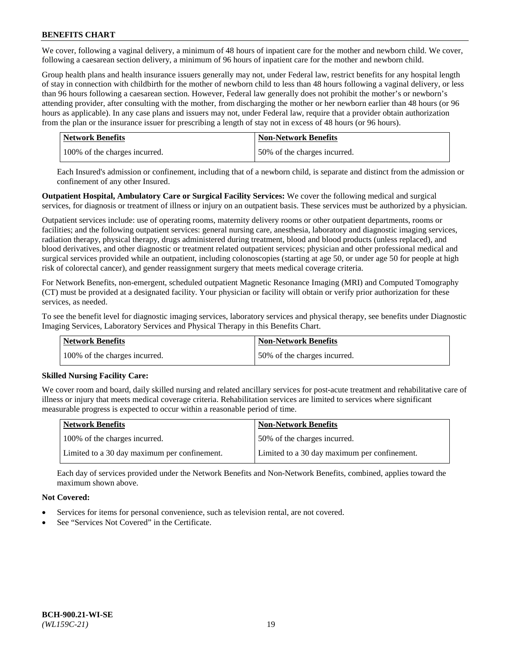We cover, following a vaginal delivery, a minimum of 48 hours of inpatient care for the mother and newborn child. We cover, following a caesarean section delivery, a minimum of 96 hours of inpatient care for the mother and newborn child.

Group health plans and health insurance issuers generally may not, under Federal law, restrict benefits for any hospital length of stay in connection with childbirth for the mother of newborn child to less than 48 hours following a vaginal delivery, or less than 96 hours following a caesarean section. However, Federal law generally does not prohibit the mother's or newborn's attending provider, after consulting with the mother, from discharging the mother or her newborn earlier than 48 hours (or 96 hours as applicable). In any case plans and issuers may not, under Federal law, require that a provider obtain authorization from the plan or the insurance issuer for prescribing a length of stay not in excess of 48 hours (or 96 hours).

| Network Benefits              | <b>Non-Network Benefits</b>  |
|-------------------------------|------------------------------|
| 100% of the charges incurred. | 50% of the charges incurred. |

Each Insured's admission or confinement, including that of a newborn child, is separate and distinct from the admission or confinement of any other Insured.

**Outpatient Hospital, Ambulatory Care or Surgical Facility Services:** We cover the following medical and surgical services, for diagnosis or treatment of illness or injury on an outpatient basis. These services must be authorized by a physician.

Outpatient services include: use of operating rooms, maternity delivery rooms or other outpatient departments, rooms or facilities; and the following outpatient services: general nursing care, anesthesia, laboratory and diagnostic imaging services, radiation therapy, physical therapy, drugs administered during treatment, blood and blood products (unless replaced), and blood derivatives, and other diagnostic or treatment related outpatient services; physician and other professional medical and surgical services provided while an outpatient, including colonoscopies (starting at age 50, or under age 50 for people at high risk of colorectal cancer), and gender reassignment surgery that meets medical coverage criteria.

For Network Benefits, non-emergent, scheduled outpatient Magnetic Resonance Imaging (MRI) and Computed Tomography (CT) must be provided at a designated facility. Your physician or facility will obtain or verify prior authorization for these services, as needed.

To see the benefit level for diagnostic imaging services, laboratory services and physical therapy, see benefits under Diagnostic Imaging Services, Laboratory Services and Physical Therapy in this Benefits Chart.

| <b>Network Benefits</b>       | <b>Non-Network Benefits</b>  |
|-------------------------------|------------------------------|
| 100% of the charges incurred. | 50% of the charges incurred. |

## **Skilled Nursing Facility Care:**

We cover room and board, daily skilled nursing and related ancillary services for post-acute treatment and rehabilitative care of illness or injury that meets medical coverage criteria. Rehabilitation services are limited to services where significant measurable progress is expected to occur within a reasonable period of time.

| <b>Network Benefits</b>                      | <b>Non-Network Benefits</b>                  |
|----------------------------------------------|----------------------------------------------|
| 100% of the charges incurred.                | 50% of the charges incurred.                 |
| Limited to a 30 day maximum per confinement. | Limited to a 30 day maximum per confinement. |

Each day of services provided under the Network Benefits and Non-Network Benefits, combined, applies toward the maximum shown above.

## **Not Covered:**

- Services for items for personal convenience, such as television rental, are not covered.
- See "Services Not Covered" in the Certificate.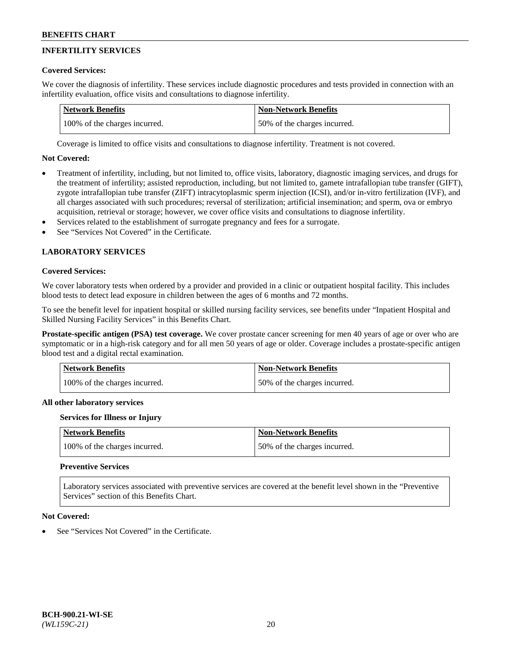# **INFERTILITY SERVICES**

## **Covered Services:**

We cover the diagnosis of infertility. These services include diagnostic procedures and tests provided in connection with an infertility evaluation, office visits and consultations to diagnose infertility.

| Network Benefits              | Non-Network Benefits         |
|-------------------------------|------------------------------|
| 100% of the charges incurred. | 50% of the charges incurred. |

Coverage is limited to office visits and consultations to diagnose infertility. Treatment is not covered.

# **Not Covered:**

- Treatment of infertility, including, but not limited to, office visits, laboratory, diagnostic imaging services, and drugs for the treatment of infertility; assisted reproduction, including, but not limited to, gamete intrafallopian tube transfer (GIFT), zygote intrafallopian tube transfer (ZIFT) intracytoplasmic sperm injection (ICSI), and/or in-vitro fertilization (IVF), and all charges associated with such procedures; reversal of sterilization; artificial insemination; and sperm, ova or embryo acquisition, retrieval or storage; however, we cover office visits and consultations to diagnose infertility.
- Services related to the establishment of surrogate pregnancy and fees for a surrogate.
- See "Services Not Covered" in the Certificate.

# **LABORATORY SERVICES**

#### **Covered Services:**

We cover laboratory tests when ordered by a provider and provided in a clinic or outpatient hospital facility. This includes blood tests to detect lead exposure in children between the ages of 6 months and 72 months.

To see the benefit level for inpatient hospital or skilled nursing facility services, see benefits under "Inpatient Hospital and Skilled Nursing Facility Services" in this Benefits Chart.

**Prostate-specific antigen (PSA) test coverage.** We cover prostate cancer screening for men 40 years of age or over who are symptomatic or in a high-risk category and for all men 50 years of age or older. Coverage includes a prostate-specific antigen blood test and a digital rectal examination.

| Network Benefits              | <b>Non-Network Benefits</b>  |
|-------------------------------|------------------------------|
| 100% of the charges incurred. | 50% of the charges incurred. |

## **All other laboratory services**

#### **Services for Illness or Injury**

| <b>Network Benefits</b>       | <b>Non-Network Benefits</b>  |
|-------------------------------|------------------------------|
| 100% of the charges incurred. | 50% of the charges incurred. |

# **Preventive Services**

Laboratory services associated with preventive services are covered at the benefit level shown in the "Preventive Services" section of this Benefits Chart.

#### **Not Covered:**

See "Services Not Covered" in the Certificate.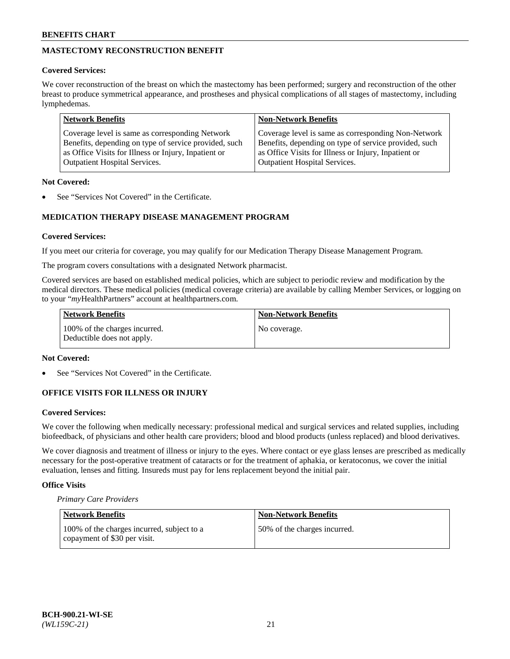# **MASTECTOMY RECONSTRUCTION BENEFIT**

## **Covered Services:**

We cover reconstruction of the breast on which the mastectomy has been performed; surgery and reconstruction of the other breast to produce symmetrical appearance, and prostheses and physical complications of all stages of mastectomy, including lymphedemas.

| <b>Network Benefits</b>                               | <b>Non-Network Benefits</b>                           |
|-------------------------------------------------------|-------------------------------------------------------|
| Coverage level is same as corresponding Network       | Coverage level is same as corresponding Non-Network   |
| Benefits, depending on type of service provided, such | Benefits, depending on type of service provided, such |
| as Office Visits for Illness or Injury, Inpatient or  | as Office Visits for Illness or Injury, Inpatient or  |
| <b>Outpatient Hospital Services.</b>                  | <b>Outpatient Hospital Services.</b>                  |

## **Not Covered:**

See "Services Not Covered" in the Certificate.

# **MEDICATION THERAPY DISEASE MANAGEMENT PROGRAM**

## **Covered Services:**

If you meet our criteria for coverage, you may qualify for our Medication Therapy Disease Management Program.

The program covers consultations with a designated Network pharmacist.

Covered services are based on established medical policies, which are subject to periodic review and modification by the medical directors. These medical policies (medical coverage criteria) are available by calling Member Services, or logging on to your "*my*HealthPartners" account at [healthpartners.com.](http://www.healthpartners.com/)

| Network Benefits                                            | <b>Non-Network Benefits</b> |
|-------------------------------------------------------------|-----------------------------|
| 100% of the charges incurred.<br>Deductible does not apply. | No coverage.                |

#### **Not Covered:**

See "Services Not Covered" in the Certificate.

## **OFFICE VISITS FOR ILLNESS OR INJURY**

#### **Covered Services:**

We cover the following when medically necessary: professional medical and surgical services and related supplies, including biofeedback, of physicians and other health care providers; blood and blood products (unless replaced) and blood derivatives.

We cover diagnosis and treatment of illness or injury to the eyes. Where contact or eye glass lenses are prescribed as medically necessary for the post-operative treatment of cataracts or for the treatment of aphakia, or keratoconus, we cover the initial evaluation, lenses and fitting. Insureds must pay for lens replacement beyond the initial pair.

## **Office Visits**

*Primary Care Providers*

| Network Benefits                                                           | <b>Non-Network Benefits</b>  |
|----------------------------------------------------------------------------|------------------------------|
| 100% of the charges incurred, subject to a<br>copayment of \$30 per visit. | 50% of the charges incurred. |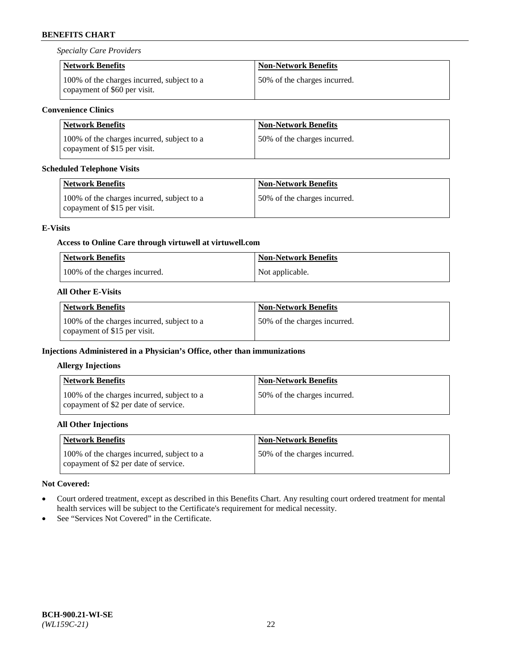*Specialty Care Providers*

| <b>Network Benefits</b>                                                    | <b>Non-Network Benefits</b>  |
|----------------------------------------------------------------------------|------------------------------|
| 100% of the charges incurred, subject to a<br>copayment of \$60 per visit. | 50% of the charges incurred. |

## **Convenience Clinics**

| <b>Network Benefits</b>                                                    | <b>Non-Network Benefits</b>    |
|----------------------------------------------------------------------------|--------------------------------|
| 100% of the charges incurred, subject to a<br>copayment of \$15 per visit. | 150\% of the charges incurred. |

## **Scheduled Telephone Visits**

| <b>Network Benefits</b>                                                    | <b>Non-Network Benefits</b>  |
|----------------------------------------------------------------------------|------------------------------|
| 100% of the charges incurred, subject to a<br>copayment of \$15 per visit. | 50% of the charges incurred. |

## **E-Visits**

# **Access to Online Care through virtuwell a[t virtuwell.com](https://www.virtuwell.com/)**

| <b>Network Benefits</b>       | <b>Non-Network Benefits</b> |
|-------------------------------|-----------------------------|
| 100% of the charges incurred. | Not applicable.             |

# **All Other E-Visits**

| Network Benefits                                                           | <b>Non-Network Benefits</b>  |
|----------------------------------------------------------------------------|------------------------------|
| 100% of the charges incurred, subject to a<br>copayment of \$15 per visit. | 50% of the charges incurred. |

# **Injections Administered in a Physician's Office, other than immunizations**

## **Allergy Injections**

| Network Benefits                                                                    | <b>Non-Network Benefits</b>  |
|-------------------------------------------------------------------------------------|------------------------------|
| 100% of the charges incurred, subject to a<br>copayment of \$2 per date of service. | 50% of the charges incurred. |

# **All Other Injections**

| <b>Network Benefits</b>                                                             | <b>Non-Network Benefits</b>  |
|-------------------------------------------------------------------------------------|------------------------------|
| 100% of the charges incurred, subject to a<br>copayment of \$2 per date of service. | 50% of the charges incurred. |

## **Not Covered:**

- Court ordered treatment, except as described in this Benefits Chart. Any resulting court ordered treatment for mental health services will be subject to the Certificate's requirement for medical necessity.
- See "Services Not Covered" in the Certificate.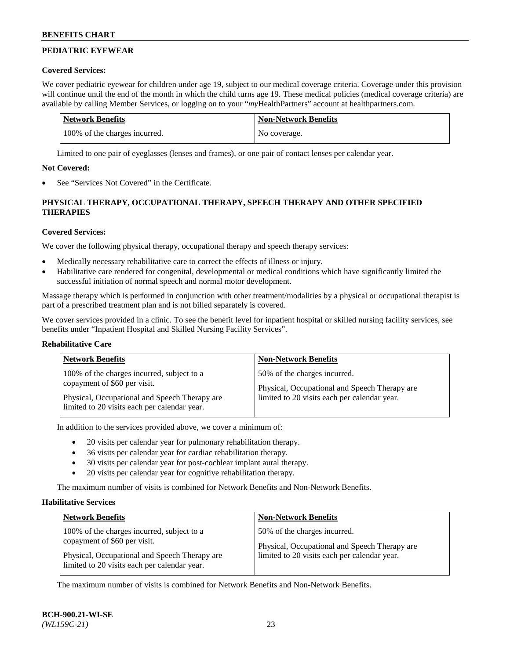# **PEDIATRIC EYEWEAR**

## **Covered Services:**

We cover pediatric eyewear for children under age 19, subject to our medical coverage criteria. Coverage under this provision will continue until the end of the month in which the child turns age 19. These medical policies (medical coverage criteria) are available by calling Member Services, or logging on to your "*my*HealthPartners" account a[t healthpartners.com.](https://www.healthpartners.com/hp/index.html)

| Network Benefits              | <b>Non-Network Benefits</b> |
|-------------------------------|-----------------------------|
| 100% of the charges incurred. | No coverage.                |

Limited to one pair of eyeglasses (lenses and frames), or one pair of contact lenses per calendar year.

# **Not Covered:**

See "Services Not Covered" in the Certificate.

# **PHYSICAL THERAPY, OCCUPATIONAL THERAPY, SPEECH THERAPY AND OTHER SPECIFIED THERAPIES**

# **Covered Services:**

We cover the following physical therapy, occupational therapy and speech therapy services:

- Medically necessary rehabilitative care to correct the effects of illness or injury.
- Habilitative care rendered for congenital, developmental or medical conditions which have significantly limited the successful initiation of normal speech and normal motor development.

Massage therapy which is performed in conjunction with other treatment/modalities by a physical or occupational therapist is part of a prescribed treatment plan and is not billed separately is covered.

We cover services provided in a clinic. To see the benefit level for inpatient hospital or skilled nursing facility services, see benefits under "Inpatient Hospital and Skilled Nursing Facility Services".

## **Rehabilitative Care**

| <b>Network Benefits</b>                       | <b>Non-Network Benefits</b>                   |
|-----------------------------------------------|-----------------------------------------------|
| 100% of the charges incurred, subject to a    | 50% of the charges incurred.                  |
| copayment of \$60 per visit.                  | Physical, Occupational and Speech Therapy are |
| Physical, Occupational and Speech Therapy are | limited to 20 visits each per calendar year.  |
| limited to 20 visits each per calendar year.  |                                               |

In addition to the services provided above, we cover a minimum of:

- 20 visits per calendar year for pulmonary rehabilitation therapy.
- 36 visits per calendar year for cardiac rehabilitation therapy.
- 30 visits per calendar year for post-cochlear implant aural therapy.
- 20 visits per calendar year for cognitive rehabilitation therapy.

The maximum number of visits is combined for Network Benefits and Non-Network Benefits.

## **Habilitative Services**

| <b>Network Benefits</b>                                                                                                                                                     | <b>Non-Network Benefits</b>                                                                                                   |
|-----------------------------------------------------------------------------------------------------------------------------------------------------------------------------|-------------------------------------------------------------------------------------------------------------------------------|
| 100% of the charges incurred, subject to a<br>copayment of \$60 per visit.<br>Physical, Occupational and Speech Therapy are<br>limited to 20 visits each per calendar year. | 50% of the charges incurred.<br>Physical, Occupational and Speech Therapy are<br>limited to 20 visits each per calendar year. |

The maximum number of visits is combined for Network Benefits and Non-Network Benefits.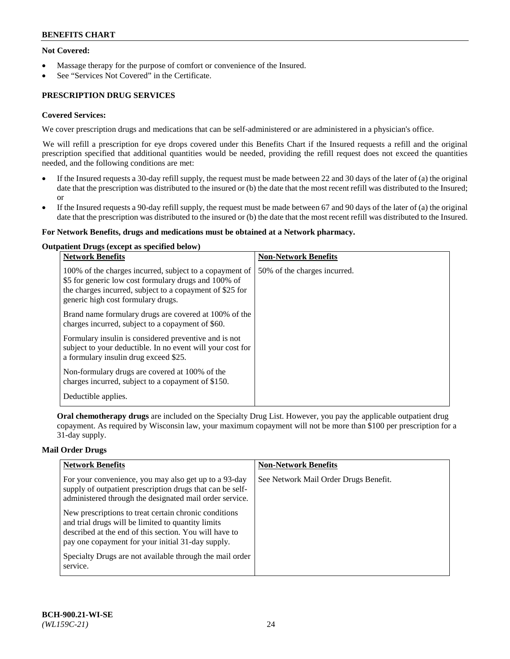## **Not Covered:**

- Massage therapy for the purpose of comfort or convenience of the Insured.
- See "Services Not Covered" in the Certificate.

# **PRESCRIPTION DRUG SERVICES**

## **Covered Services:**

We cover prescription drugs and medications that can be self-administered or are administered in a physician's office.

We will refill a prescription for eye drops covered under this Benefits Chart if the Insured requests a refill and the original prescription specified that additional quantities would be needed, providing the refill request does not exceed the quantities needed, and the following conditions are met:

- If the Insured requests a 30-day refill supply, the request must be made between 22 and 30 days of the later of (a) the original date that the prescription was distributed to the insured or (b) the date that the most recent refill was distributed to the Insured; or
- If the Insured requests a 90-day refill supply, the request must be made between 67 and 90 days of the later of (a) the original date that the prescription was distributed to the insured or (b) the date that the most recent refill was distributed to the Insured.

#### **For Network Benefits, drugs and medications must be obtained at a Network pharmacy.**

#### **Outpatient Drugs (except as specified below)**

| <b>Network Benefits</b>                                                                                                                                                                                           | <b>Non-Network Benefits</b>  |
|-------------------------------------------------------------------------------------------------------------------------------------------------------------------------------------------------------------------|------------------------------|
| 100% of the charges incurred, subject to a copayment of<br>\$5 for generic low cost formulary drugs and 100% of<br>the charges incurred, subject to a copayment of \$25 for<br>generic high cost formulary drugs. | 50% of the charges incurred. |
| Brand name formulary drugs are covered at 100% of the<br>charges incurred, subject to a copayment of \$60.                                                                                                        |                              |
| Formulary insulin is considered preventive and is not<br>subject to your deductible. In no event will your cost for<br>a formulary insulin drug exceed \$25.                                                      |                              |
| Non-formulary drugs are covered at 100% of the<br>charges incurred, subject to a copayment of \$150.                                                                                                              |                              |
| Deductible applies.                                                                                                                                                                                               |                              |

**Oral chemotherapy drugs** are included on the Specialty Drug List. However, you pay the applicable outpatient drug copayment. As required by Wisconsin law, your maximum copayment will not be more than \$100 per prescription for a 31-day supply.

## **Mail Order Drugs**

| <b>Network Benefits</b>                                                                                                                                                                                                    | <b>Non-Network Benefits</b>           |
|----------------------------------------------------------------------------------------------------------------------------------------------------------------------------------------------------------------------------|---------------------------------------|
| For your convenience, you may also get up to a 93-day<br>supply of outpatient prescription drugs that can be self-<br>administered through the designated mail order service.                                              | See Network Mail Order Drugs Benefit. |
| New prescriptions to treat certain chronic conditions<br>and trial drugs will be limited to quantity limits<br>described at the end of this section. You will have to<br>pay one copayment for your initial 31-day supply. |                                       |
| Specialty Drugs are not available through the mail order<br>service.                                                                                                                                                       |                                       |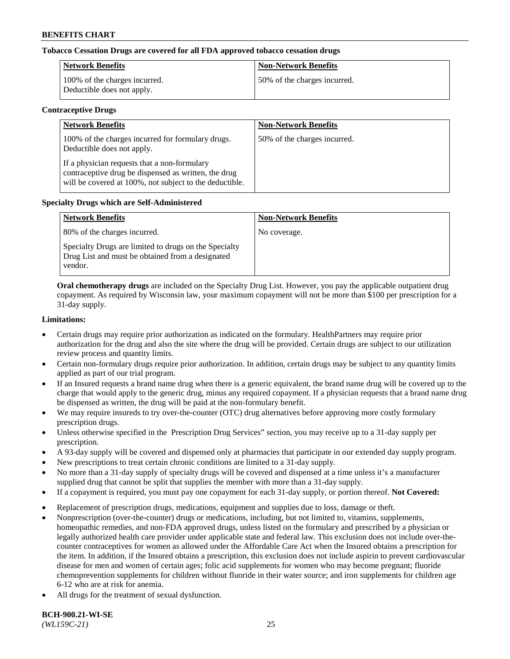## **Tobacco Cessation Drugs are covered for all FDA approved tobacco cessation drugs**

| <b>Network Benefits</b>                                     | <b>Non-Network Benefits</b>  |
|-------------------------------------------------------------|------------------------------|
| 100% of the charges incurred.<br>Deductible does not apply. | 50% of the charges incurred. |

#### **Contraceptive Drugs**

| <b>Network Benefits</b>                                                                                                                                         | <b>Non-Network Benefits</b>  |
|-----------------------------------------------------------------------------------------------------------------------------------------------------------------|------------------------------|
| 100% of the charges incurred for formulary drugs.<br>Deductible does not apply.                                                                                 | 50% of the charges incurred. |
| If a physician requests that a non-formulary<br>contraceptive drug be dispensed as written, the drug<br>will be covered at 100%, not subject to the deductible. |                              |

## **Specialty Drugs which are Self-Administered**

| <b>Network Benefits</b>                                                                                              | <b>Non-Network Benefits</b> |
|----------------------------------------------------------------------------------------------------------------------|-----------------------------|
| 80% of the charges incurred.                                                                                         | No coverage.                |
| Specialty Drugs are limited to drugs on the Specialty<br>Drug List and must be obtained from a designated<br>vendor. |                             |

**Oral chemotherapy drugs** are included on the Specialty Drug List. However, you pay the applicable outpatient drug copayment. As required by Wisconsin law, your maximum copayment will not be more than \$100 per prescription for a 31-day supply.

#### **Limitations:**

- Certain drugs may require prior authorization as indicated on the formulary. HealthPartners may require prior authorization for the drug and also the site where the drug will be provided. Certain drugs are subject to our utilization review process and quantity limits.
- Certain non-formulary drugs require prior authorization. In addition, certain drugs may be subject to any quantity limits applied as part of our trial program.
- If an Insured requests a brand name drug when there is a generic equivalent, the brand name drug will be covered up to the charge that would apply to the generic drug, minus any required copayment. If a physician requests that a brand name drug be dispensed as written, the drug will be paid at the non-formulary benefit.
- We may require insureds to try over-the-counter (OTC) drug alternatives before approving more costly formulary prescription drugs.
- Unless otherwise specified in the Prescription Drug Services" section, you may receive up to a 31-day supply per prescription.
- A 93-day supply will be covered and dispensed only at pharmacies that participate in our extended day supply program.
- New prescriptions to treat certain chronic conditions are limited to a 31-day supply.
- No more than a 31-day supply of specialty drugs will be covered and dispensed at a time unless it's a manufacturer supplied drug that cannot be split that supplies the member with more than a 31-day supply.
- If a copayment is required, you must pay one copayment for each 31-day supply, or portion thereof. **Not Covered:**
- Replacement of prescription drugs, medications, equipment and supplies due to loss, damage or theft.
- Nonprescription (over-the-counter) drugs or medications, including, but not limited to, vitamins, supplements, homeopathic remedies, and non-FDA approved drugs, unless listed on the formulary and prescribed by a physician or legally authorized health care provider under applicable state and federal law. This exclusion does not include over-thecounter contraceptives for women as allowed under the Affordable Care Act when the Insured obtains a prescription for the item. In addition, if the Insured obtains a prescription, this exclusion does not include aspirin to prevent cardiovascular disease for men and women of certain ages; folic acid supplements for women who may become pregnant; fluoride chemoprevention supplements for children without fluoride in their water source; and iron supplements for children age 6-12 who are at risk for anemia.
- All drugs for the treatment of sexual dysfunction.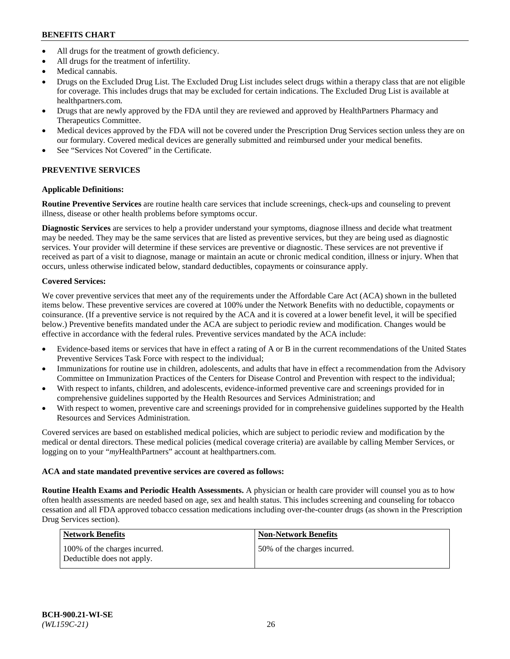- All drugs for the treatment of growth deficiency.
- All drugs for the treatment of infertility.
- Medical cannabis.
- Drugs on the Excluded Drug List. The Excluded Drug List includes select drugs within a therapy class that are not eligible for coverage. This includes drugs that may be excluded for certain indications. The Excluded Drug List is available at [healthpartners.com.](http://www.healthpartners.com/)
- Drugs that are newly approved by the FDA until they are reviewed and approved by HealthPartners Pharmacy and Therapeutics Committee.
- Medical devices approved by the FDA will not be covered under the Prescription Drug Services section unless they are on our formulary. Covered medical devices are generally submitted and reimbursed under your medical benefits.
- See "Services Not Covered" in the Certificate.

# **PREVENTIVE SERVICES**

## **Applicable Definitions:**

**Routine Preventive Services** are routine health care services that include screenings, check-ups and counseling to prevent illness, disease or other health problems before symptoms occur.

**Diagnostic Services** are services to help a provider understand your symptoms, diagnose illness and decide what treatment may be needed. They may be the same services that are listed as preventive services, but they are being used as diagnostic services. Your provider will determine if these services are preventive or diagnostic. These services are not preventive if received as part of a visit to diagnose, manage or maintain an acute or chronic medical condition, illness or injury. When that occurs, unless otherwise indicated below, standard deductibles, copayments or coinsurance apply.

# **Covered Services:**

We cover preventive services that meet any of the requirements under the Affordable Care Act (ACA) shown in the bulleted items below. These preventive services are covered at 100% under the Network Benefits with no deductible, copayments or coinsurance. (If a preventive service is not required by the ACA and it is covered at a lower benefit level, it will be specified below.) Preventive benefits mandated under the ACA are subject to periodic review and modification. Changes would be effective in accordance with the federal rules. Preventive services mandated by the ACA include:

- Evidence-based items or services that have in effect a rating of A or B in the current recommendations of the United States Preventive Services Task Force with respect to the individual;
- Immunizations for routine use in children, adolescents, and adults that have in effect a recommendation from the Advisory Committee on Immunization Practices of the Centers for Disease Control and Prevention with respect to the individual;
- With respect to infants, children, and adolescents, evidence-informed preventive care and screenings provided for in comprehensive guidelines supported by the Health Resources and Services Administration; and
- With respect to women, preventive care and screenings provided for in comprehensive guidelines supported by the Health Resources and Services Administration.

Covered services are based on established medical policies, which are subject to periodic review and modification by the medical or dental directors. These medical policies (medical coverage criteria) are available by calling Member Services, or logging on to your "*my*HealthPartners" account at [healthpartners.com.](https://www.healthpartners.com/hp/index.html)

## **ACA and state mandated preventive services are covered as follows:**

**Routine Health Exams and Periodic Health Assessments.** A physician or health care provider will counsel you as to how often health assessments are needed based on age, sex and health status. This includes screening and counseling for tobacco cessation and all FDA approved tobacco cessation medications including over-the-counter drugs (as shown in the Prescription Drug Services section).

| <b>Network Benefits</b>                                     | <b>Non-Network Benefits</b>  |
|-------------------------------------------------------------|------------------------------|
| 100% of the charges incurred.<br>Deductible does not apply. | 50% of the charges incurred. |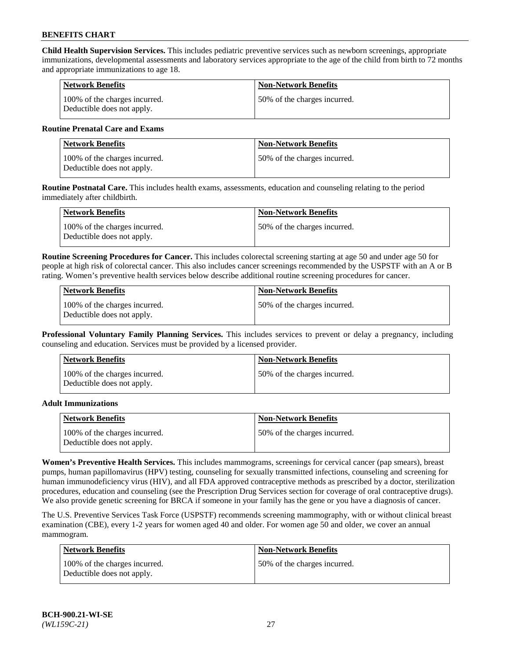**Child Health Supervision Services.** This includes pediatric preventive services such as newborn screenings, appropriate immunizations, developmental assessments and laboratory services appropriate to the age of the child from birth to 72 months and appropriate immunizations to age 18.

| <b>Network Benefits</b>                                     | <b>Non-Network Benefits</b>  |
|-------------------------------------------------------------|------------------------------|
| 100% of the charges incurred.<br>Deductible does not apply. | 50% of the charges incurred. |

#### **Routine Prenatal Care and Exams**

| Network Benefits                                            | <b>Non-Network Benefits</b>  |
|-------------------------------------------------------------|------------------------------|
| 100% of the charges incurred.<br>Deductible does not apply. | 50% of the charges incurred. |

**Routine Postnatal Care.** This includes health exams, assessments, education and counseling relating to the period immediately after childbirth.

| <b>Network Benefits</b>                                     | <b>Non-Network Benefits</b>  |
|-------------------------------------------------------------|------------------------------|
| 100% of the charges incurred.<br>Deductible does not apply. | 50% of the charges incurred. |

**Routine Screening Procedures for Cancer.** This includes colorectal screening starting at age 50 and under age 50 for people at high risk of colorectal cancer. This also includes cancer screenings recommended by the USPSTF with an A or B rating. Women's preventive health services below describe additional routine screening procedures for cancer.

| <b>Network Benefits</b>                                     | <b>Non-Network Benefits</b>   |
|-------------------------------------------------------------|-------------------------------|
| 100% of the charges incurred.<br>Deductible does not apply. | 150% of the charges incurred. |

**Professional Voluntary Family Planning Services.** This includes services to prevent or delay a pregnancy, including counseling and education. Services must be provided by a licensed provider.

| <b>Network Benefits</b>                                     | <b>Non-Network Benefits</b>  |
|-------------------------------------------------------------|------------------------------|
| 100% of the charges incurred.<br>Deductible does not apply. | 50% of the charges incurred. |

#### **Adult Immunizations**

| Network Benefits                                            | <b>Non-Network Benefits</b>   |
|-------------------------------------------------------------|-------------------------------|
| 100% of the charges incurred.<br>Deductible does not apply. | 150% of the charges incurred. |

**Women's Preventive Health Services.** This includes mammograms, screenings for cervical cancer (pap smears), breast pumps, human papillomavirus (HPV) testing, counseling for sexually transmitted infections, counseling and screening for human immunodeficiency virus (HIV), and all FDA approved contraceptive methods as prescribed by a doctor, sterilization procedures, education and counseling (see the Prescription Drug Services section for coverage of oral contraceptive drugs). We also provide genetic screening for BRCA if someone in your family has the gene or you have a diagnosis of cancer.

The U.S. Preventive Services Task Force (USPSTF) recommends screening mammography, with or without clinical breast examination (CBE), every 1-2 years for women aged 40 and older. For women age 50 and older, we cover an annual mammogram.

| <b>Network Benefits</b>                                     | Non-Network Benefits         |
|-------------------------------------------------------------|------------------------------|
| 100% of the charges incurred.<br>Deductible does not apply. | 50% of the charges incurred. |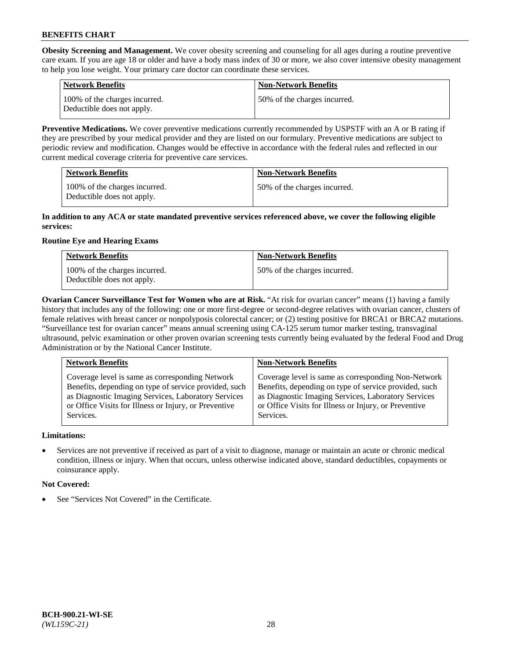**Obesity Screening and Management.** We cover obesity screening and counseling for all ages during a routine preventive care exam. If you are age 18 or older and have a body mass index of 30 or more, we also cover intensive obesity management to help you lose weight. Your primary care doctor can coordinate these services.

| <b>Network Benefits</b>                                     | <b>Non-Network Benefits</b>  |
|-------------------------------------------------------------|------------------------------|
| 100% of the charges incurred.<br>Deductible does not apply. | 50% of the charges incurred. |

**Preventive Medications.** We cover preventive medications currently recommended by USPSTF with an A or B rating if they are prescribed by your medical provider and they are listed on our formulary. Preventive medications are subject to periodic review and modification. Changes would be effective in accordance with the federal rules and reflected in our current medical coverage criteria for preventive care services.

| <b>Network Benefits</b>                                     | <b>Non-Network Benefits</b>  |
|-------------------------------------------------------------|------------------------------|
| 100% of the charges incurred.<br>Deductible does not apply. | 50% of the charges incurred. |

#### **In addition to any ACA or state mandated preventive services referenced above, we cover the following eligible services:**

# **Routine Eye and Hearing Exams**

| <b>Network Benefits</b>                                     | <b>Non-Network Benefits</b>  |
|-------------------------------------------------------------|------------------------------|
| 100% of the charges incurred.<br>Deductible does not apply. | 50% of the charges incurred. |

**Ovarian Cancer Surveillance Test for Women who are at Risk.** "At risk for ovarian cancer" means (1) having a family history that includes any of the following: one or more first-degree or second-degree relatives with ovarian cancer, clusters of female relatives with breast cancer or nonpolyposis colorectal cancer; or (2) testing positive for BRCA1 or BRCA2 mutations. "Surveillance test for ovarian cancer" means annual screening using CA-125 serum tumor marker testing, transvaginal ultrasound, pelvic examination or other proven ovarian screening tests currently being evaluated by the federal Food and Drug Administration or by the National Cancer Institute.

| <b>Network Benefits</b>                               | <b>Non-Network Benefits</b>                           |
|-------------------------------------------------------|-------------------------------------------------------|
| Coverage level is same as corresponding Network       | Coverage level is same as corresponding Non-Network   |
| Benefits, depending on type of service provided, such | Benefits, depending on type of service provided, such |
| as Diagnostic Imaging Services, Laboratory Services   | as Diagnostic Imaging Services, Laboratory Services   |
| or Office Visits for Illness or Injury, or Preventive | or Office Visits for Illness or Injury, or Preventive |
| Services.                                             | Services.                                             |

## **Limitations:**

• Services are not preventive if received as part of a visit to diagnose, manage or maintain an acute or chronic medical condition, illness or injury. When that occurs, unless otherwise indicated above, standard deductibles, copayments or coinsurance apply.

## **Not Covered:**

See "Services Not Covered" in the Certificate.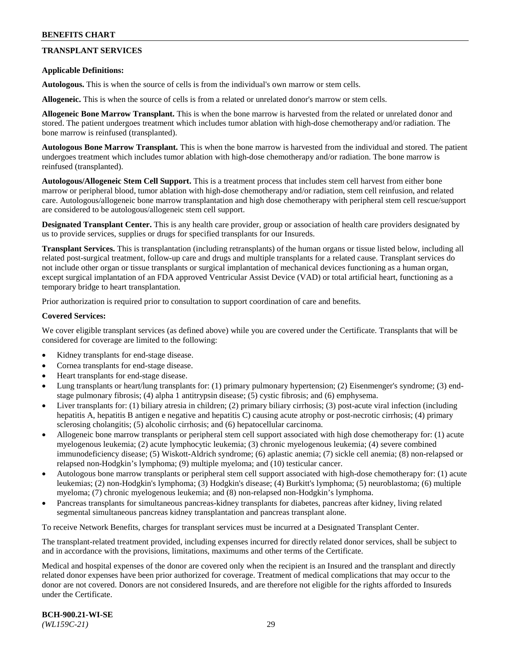## **TRANSPLANT SERVICES**

#### **Applicable Definitions:**

**Autologous.** This is when the source of cells is from the individual's own marrow or stem cells.

**Allogeneic.** This is when the source of cells is from a related or unrelated donor's marrow or stem cells.

**Allogeneic Bone Marrow Transplant.** This is when the bone marrow is harvested from the related or unrelated donor and stored. The patient undergoes treatment which includes tumor ablation with high-dose chemotherapy and/or radiation. The bone marrow is reinfused (transplanted).

**Autologous Bone Marrow Transplant.** This is when the bone marrow is harvested from the individual and stored. The patient undergoes treatment which includes tumor ablation with high-dose chemotherapy and/or radiation. The bone marrow is reinfused (transplanted).

**Autologous/Allogeneic Stem Cell Support.** This is a treatment process that includes stem cell harvest from either bone marrow or peripheral blood, tumor ablation with high-dose chemotherapy and/or radiation, stem cell reinfusion, and related care. Autologous/allogeneic bone marrow transplantation and high dose chemotherapy with peripheral stem cell rescue/support are considered to be autologous/allogeneic stem cell support.

**Designated Transplant Center.** This is any health care provider, group or association of health care providers designated by us to provide services, supplies or drugs for specified transplants for our Insureds.

**Transplant Services.** This is transplantation (including retransplants) of the human organs or tissue listed below, including all related post-surgical treatment, follow-up care and drugs and multiple transplants for a related cause. Transplant services do not include other organ or tissue transplants or surgical implantation of mechanical devices functioning as a human organ, except surgical implantation of an FDA approved Ventricular Assist Device (VAD) or total artificial heart, functioning as a temporary bridge to heart transplantation.

Prior authorization is required prior to consultation to support coordination of care and benefits.

#### **Covered Services:**

We cover eligible transplant services (as defined above) while you are covered under the Certificate. Transplants that will be considered for coverage are limited to the following:

- Kidney transplants for end-stage disease.
- Cornea transplants for end-stage disease.
- Heart transplants for end-stage disease.
- Lung transplants or heart/lung transplants for: (1) primary pulmonary hypertension; (2) Eisenmenger's syndrome; (3) endstage pulmonary fibrosis; (4) alpha 1 antitrypsin disease; (5) cystic fibrosis; and (6) emphysema.
- Liver transplants for: (1) biliary atresia in children; (2) primary biliary cirrhosis; (3) post-acute viral infection (including hepatitis A, hepatitis B antigen e negative and hepatitis C) causing acute atrophy or post-necrotic cirrhosis; (4) primary sclerosing cholangitis; (5) alcoholic cirrhosis; and (6) hepatocellular carcinoma.
- Allogeneic bone marrow transplants or peripheral stem cell support associated with high dose chemotherapy for: (1) acute myelogenous leukemia; (2) acute lymphocytic leukemia; (3) chronic myelogenous leukemia; (4) severe combined immunodeficiency disease; (5) Wiskott-Aldrich syndrome; (6) aplastic anemia; (7) sickle cell anemia; (8) non-relapsed or relapsed non-Hodgkin's lymphoma; (9) multiple myeloma; and (10) testicular cancer.
- Autologous bone marrow transplants or peripheral stem cell support associated with high-dose chemotherapy for: (1) acute leukemias; (2) non-Hodgkin's lymphoma; (3) Hodgkin's disease; (4) Burkitt's lymphoma; (5) neuroblastoma; (6) multiple myeloma; (7) chronic myelogenous leukemia; and (8) non-relapsed non-Hodgkin's lymphoma.
- Pancreas transplants for simultaneous pancreas-kidney transplants for diabetes, pancreas after kidney, living related segmental simultaneous pancreas kidney transplantation and pancreas transplant alone.

To receive Network Benefits, charges for transplant services must be incurred at a Designated Transplant Center.

The transplant-related treatment provided, including expenses incurred for directly related donor services, shall be subject to and in accordance with the provisions, limitations, maximums and other terms of the Certificate.

Medical and hospital expenses of the donor are covered only when the recipient is an Insured and the transplant and directly related donor expenses have been prior authorized for coverage. Treatment of medical complications that may occur to the donor are not covered. Donors are not considered Insureds, and are therefore not eligible for the rights afforded to Insureds under the Certificate.